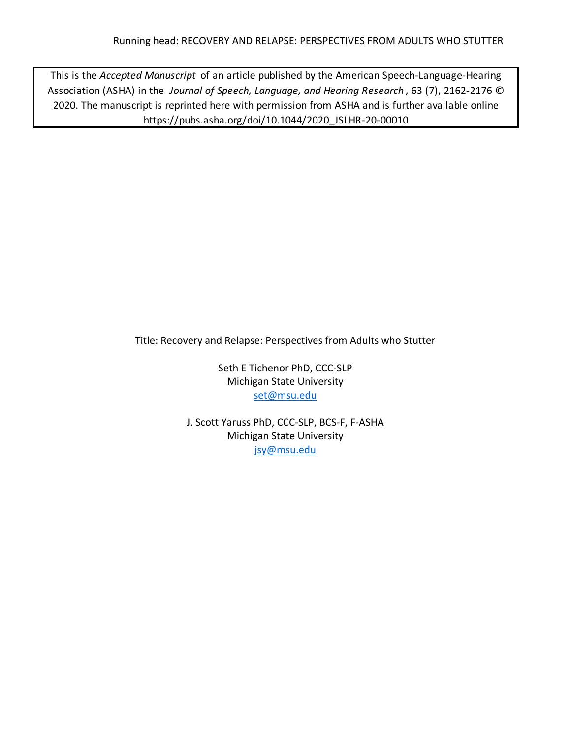This is the *Accepted Manuscript* of an article published by the American Speech-Language-Hearing Association (ASHA) in the *Journal of Speech, Language, and Hearing Research* , 63 (7), 2162-2176 © 2020. The manuscript is reprinted here with permission from ASHA and is further available online https://pubs.asha.org/doi/10.1044/2020\_JSLHR-20-00010

Title: Recovery and Relapse: Perspectives from Adults who Stutter

Seth E Tichenor PhD, CCC-SLP Michigan State University set@msu.edu

J. Scott Yaruss PhD, CCC-SLP, BCS-F, F-ASHA Michigan State University jsy@msu.edu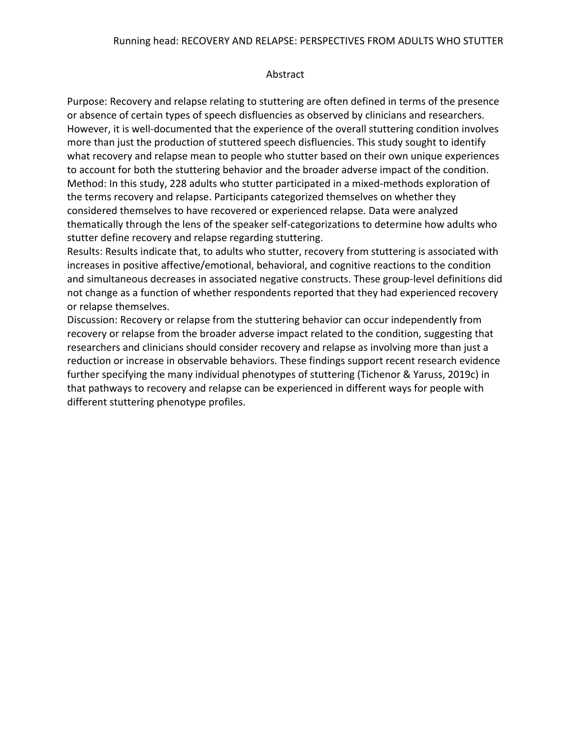# Abstract

Purpose: Recovery and relapse relating to stuttering are often defined in terms of the presence or absence of certain types of speech disfluencies as observed by clinicians and researchers. However, it is well-documented that the experience of the overall stuttering condition involves more than just the production of stuttered speech disfluencies. This study sought to identify what recovery and relapse mean to people who stutter based on their own unique experiences to account for both the stuttering behavior and the broader adverse impact of the condition. Method: In this study, 228 adults who stutter participated in a mixed-methods exploration of the terms recovery and relapse. Participants categorized themselves on whether they considered themselves to have recovered or experienced relapse. Data were analyzed thematically through the lens of the speaker self-categorizations to determine how adults who stutter define recovery and relapse regarding stuttering.

Results: Results indicate that, to adults who stutter, recovery from stuttering is associated with increases in positive affective/emotional, behavioral, and cognitive reactions to the condition and simultaneous decreases in associated negative constructs. These group-level definitions did not change as a function of whether respondents reported that they had experienced recovery or relapse themselves.

Discussion: Recovery or relapse from the stuttering behavior can occur independently from recovery or relapse from the broader adverse impact related to the condition, suggesting that researchers and clinicians should consider recovery and relapse as involving more than just a reduction or increase in observable behaviors. These findings support recent research evidence further specifying the many individual phenotypes of stuttering (Tichenor & Yaruss, 2019c) in that pathways to recovery and relapse can be experienced in different ways for people with different stuttering phenotype profiles.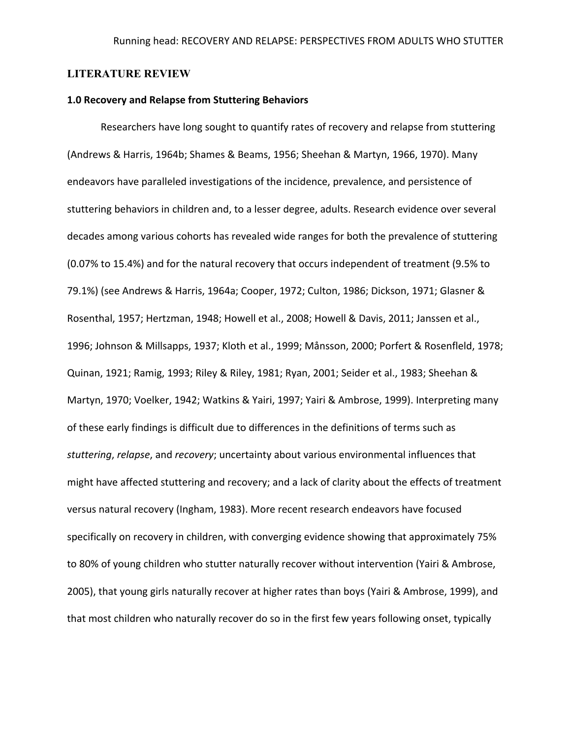# **LITERATURE REVIEW**

### **1.0 Recovery and Relapse from Stuttering Behaviors**

Researchers have long sought to quantify rates of recovery and relapse from stuttering (Andrews & Harris, 1964b; Shames & Beams, 1956; Sheehan & Martyn, 1966, 1970). Many endeavors have paralleled investigations of the incidence, prevalence, and persistence of stuttering behaviors in children and, to a lesser degree, adults. Research evidence over several decades among various cohorts has revealed wide ranges for both the prevalence of stuttering (0.07% to 15.4%) and for the natural recovery that occurs independent of treatment (9.5% to 79.1%) (see Andrews & Harris, 1964a; Cooper, 1972; Culton, 1986; Dickson, 1971; Glasner & Rosenthal, 1957; Hertzman, 1948; Howell et al., 2008; Howell & Davis, 2011; Janssen et al., 1996; Johnson & Millsapps, 1937; Kloth et al., 1999; Månsson, 2000; Porfert & Rosenfleld, 1978; Quinan, 1921; Ramig, 1993; Riley & Riley, 1981; Ryan, 2001; Seider et al., 1983; Sheehan & Martyn, 1970; Voelker, 1942; Watkins & Yairi, 1997; Yairi & Ambrose, 1999). Interpreting many of these early findings is difficult due to differences in the definitions of terms such as *stuttering*, *relapse*, and *recovery*; uncertainty about various environmental influences that might have affected stuttering and recovery; and a lack of clarity about the effects of treatment versus natural recovery (Ingham, 1983). More recent research endeavors have focused specifically on recovery in children, with converging evidence showing that approximately 75% to 80% of young children who stutter naturally recover without intervention (Yairi & Ambrose, 2005), that young girls naturally recover at higher rates than boys (Yairi & Ambrose, 1999), and that most children who naturally recover do so in the first few years following onset, typically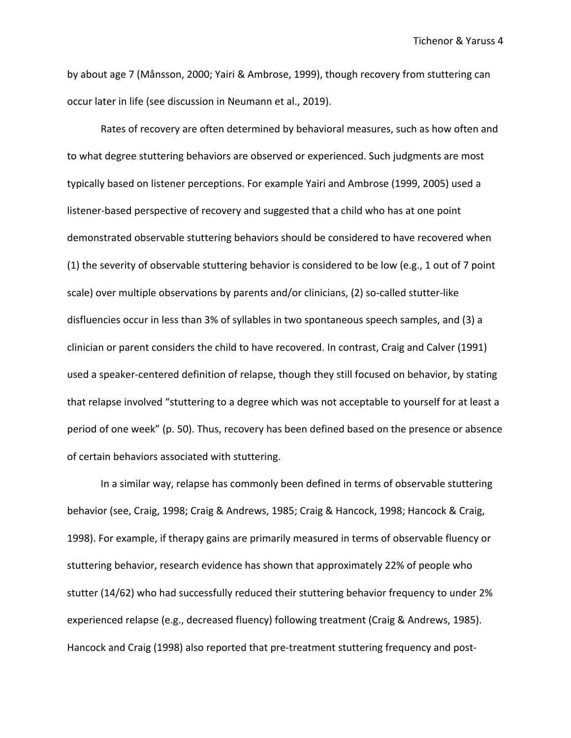Tichenor & Yaruss 4

by about age 7 (Månsson, 2000; Yairi & Ambrose, 1999), though recovery from stuttering can occur later in life (see discussion in Neumann et al., 2019).

Rates of recovery are often determined by behavioral measures, such as how often and to what degree stuttering behaviors are observed or experienced. Such judgments are most typically based on listener perceptions. For example Yairi and Ambrose (1999, 2005) used a listener-based perspective of recovery and suggested that a child who has at one point demonstrated observable stuttering behaviors should be considered to have recovered when (1) the severity of observable stuttering behavior is considered to be low (e.g., 1 out of 7 point scale) over multiple observations by parents and/or clinicians, (2) so-called stutter-like disfluencies occur in less than 3% of syllables in two spontaneous speech samples, and (3) a clinician or parent considers the child to have recovered. In contrast, Craig and Calver (1991) used a speaker-centered definition of relapse, though they still focused on behavior, by stating that relapse involved "stuttering to a degree which was not acceptable to yourself for at least a period of one week" (p. 50). Thus, recovery has been defined based on the presence or absence of certain behaviors associated with stuttering.

In a similar way, relapse has commonly been defined in terms of observable stuttering behavior (see, Craig, 1998; Craig & Andrews, 1985; Craig & Hancock, 1998; Hancock & Craig, 1998). For example, if therapy gains are primarily measured in terms of observable fluency or stuttering behavior, research evidence has shown that approximately 22% of people who stutter (14/62) who had successfully reduced their stuttering behavior frequency to under 2% experienced relapse (e.g., decreased fluency) following treatment (Craig & Andrews, 1985). Hancock and Craig (1998) also reported that pre-treatment stuttering frequency and post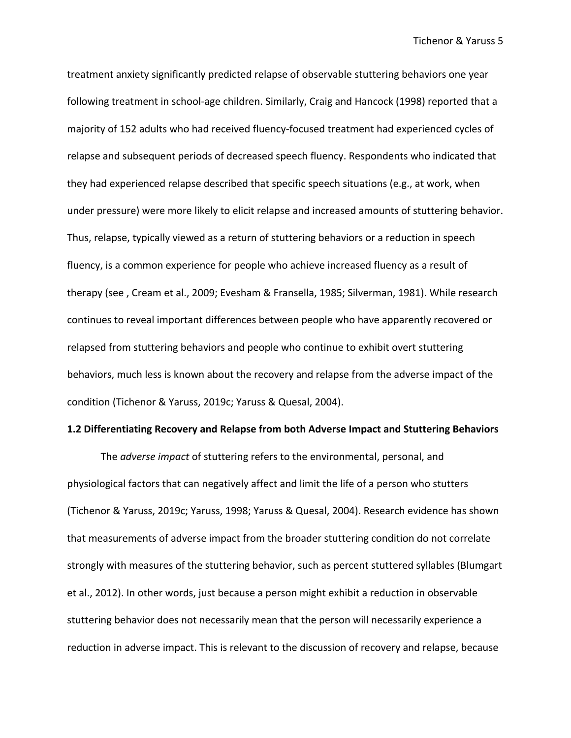treatment anxiety significantly predicted relapse of observable stuttering behaviors one year following treatment in school-age children. Similarly, Craig and Hancock (1998) reported that a majority of 152 adults who had received fluency-focused treatment had experienced cycles of relapse and subsequent periods of decreased speech fluency. Respondents who indicated that they had experienced relapse described that specific speech situations (e.g., at work, when under pressure) were more likely to elicit relapse and increased amounts of stuttering behavior. Thus, relapse, typically viewed as a return of stuttering behaviors or a reduction in speech fluency, is a common experience for people who achieve increased fluency as a result of therapy (see , Cream et al., 2009; Evesham & Fransella, 1985; Silverman, 1981). While research continues to reveal important differences between people who have apparently recovered or relapsed from stuttering behaviors and people who continue to exhibit overt stuttering behaviors, much less is known about the recovery and relapse from the adverse impact of the condition (Tichenor & Yaruss, 2019c; Yaruss & Quesal, 2004).

### **1.2 Differentiating Recovery and Relapse from both Adverse Impact and Stuttering Behaviors**

The *adverse impact* of stuttering refers to the environmental, personal, and physiological factors that can negatively affect and limit the life of a person who stutters (Tichenor & Yaruss, 2019c; Yaruss, 1998; Yaruss & Quesal, 2004). Research evidence has shown that measurements of adverse impact from the broader stuttering condition do not correlate strongly with measures of the stuttering behavior, such as percent stuttered syllables (Blumgart et al., 2012). In other words, just because a person might exhibit a reduction in observable stuttering behavior does not necessarily mean that the person will necessarily experience a reduction in adverse impact. This is relevant to the discussion of recovery and relapse, because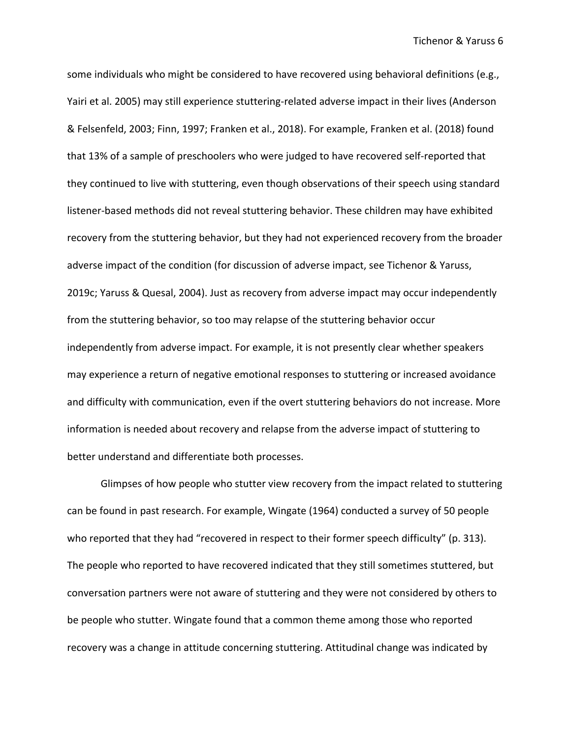some individuals who might be considered to have recovered using behavioral definitions (e.g., Yairi et al. 2005) may still experience stuttering-related adverse impact in their lives (Anderson & Felsenfeld, 2003; Finn, 1997; Franken et al., 2018). For example, Franken et al. (2018) found that 13% of a sample of preschoolers who were judged to have recovered self-reported that they continued to live with stuttering, even though observations of their speech using standard listener-based methods did not reveal stuttering behavior. These children may have exhibited recovery from the stuttering behavior, but they had not experienced recovery from the broader adverse impact of the condition (for discussion of adverse impact, see Tichenor & Yaruss, 2019c; Yaruss & Quesal, 2004). Just as recovery from adverse impact may occur independently from the stuttering behavior, so too may relapse of the stuttering behavior occur independently from adverse impact. For example, it is not presently clear whether speakers may experience a return of negative emotional responses to stuttering or increased avoidance and difficulty with communication, even if the overt stuttering behaviors do not increase. More information is needed about recovery and relapse from the adverse impact of stuttering to better understand and differentiate both processes.

Glimpses of how people who stutter view recovery from the impact related to stuttering can be found in past research. For example, Wingate (1964) conducted a survey of 50 people who reported that they had "recovered in respect to their former speech difficulty" (p. 313). The people who reported to have recovered indicated that they still sometimes stuttered, but conversation partners were not aware of stuttering and they were not considered by others to be people who stutter. Wingate found that a common theme among those who reported recovery was a change in attitude concerning stuttering. Attitudinal change was indicated by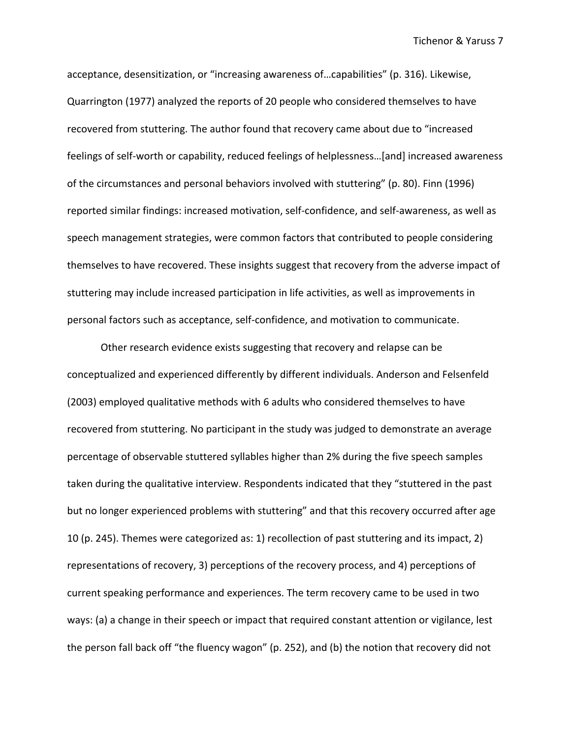acceptance, desensitization, or "increasing awareness of…capabilities" (p. 316). Likewise, Quarrington (1977) analyzed the reports of 20 people who considered themselves to have recovered from stuttering. The author found that recovery came about due to "increased feelings of self-worth or capability, reduced feelings of helplessness…[and] increased awareness of the circumstances and personal behaviors involved with stuttering" (p. 80). Finn (1996) reported similar findings: increased motivation, self-confidence, and self-awareness, as well as speech management strategies, were common factors that contributed to people considering themselves to have recovered. These insights suggest that recovery from the adverse impact of stuttering may include increased participation in life activities, as well as improvements in personal factors such as acceptance, self-confidence, and motivation to communicate.

Other research evidence exists suggesting that recovery and relapse can be conceptualized and experienced differently by different individuals. Anderson and Felsenfeld (2003) employed qualitative methods with 6 adults who considered themselves to have recovered from stuttering. No participant in the study was judged to demonstrate an average percentage of observable stuttered syllables higher than 2% during the five speech samples taken during the qualitative interview. Respondents indicated that they "stuttered in the past but no longer experienced problems with stuttering" and that this recovery occurred after age 10 (p. 245). Themes were categorized as: 1) recollection of past stuttering and its impact, 2) representations of recovery, 3) perceptions of the recovery process, and 4) perceptions of current speaking performance and experiences. The term recovery came to be used in two ways: (a) a change in their speech or impact that required constant attention or vigilance, lest the person fall back off "the fluency wagon" (p. 252), and (b) the notion that recovery did not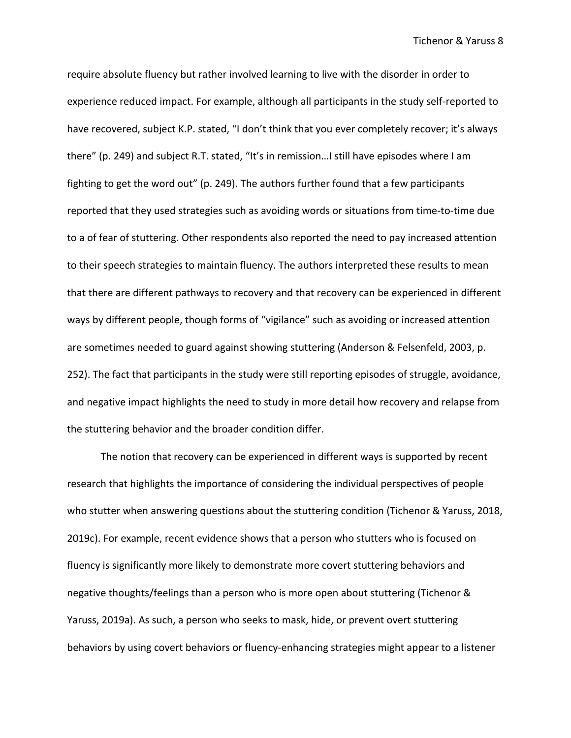Tichenor & Yaruss 8

require absolute fluency but rather involved learning to live with the disorder in order to experience reduced impact. For example, although all participants in the study self-reported to have recovered, subject K.P. stated, "I don't think that you ever completely recover; it's always there" (p. 249) and subject R.T. stated, "It's in remission…I still have episodes where I am fighting to get the word out" (p. 249). The authors further found that a few participants reported that they used strategies such as avoiding words or situations from time-to-time due to a of fear of stuttering. Other respondents also reported the need to pay increased attention to their speech strategies to maintain fluency. The authors interpreted these results to mean that there are different pathways to recovery and that recovery can be experienced in different ways by different people, though forms of "vigilance" such as avoiding or increased attention are sometimes needed to guard against showing stuttering (Anderson & Felsenfeld, 2003, p. 252). The fact that participants in the study were still reporting episodes of struggle, avoidance, and negative impact highlights the need to study in more detail how recovery and relapse from the stuttering behavior and the broader condition differ.

The notion that recovery can be experienced in different ways is supported by recent research that highlights the importance of considering the individual perspectives of people who stutter when answering questions about the stuttering condition (Tichenor & Yaruss, 2018, 2019c). For example, recent evidence shows that a person who stutters who is focused on fluency is significantly more likely to demonstrate more covert stuttering behaviors and negative thoughts/feelings than a person who is more open about stuttering (Tichenor & Yaruss, 2019a). As such, a person who seeks to mask, hide, or prevent overt stuttering behaviors by using covert behaviors or fluency-enhancing strategies might appear to a listener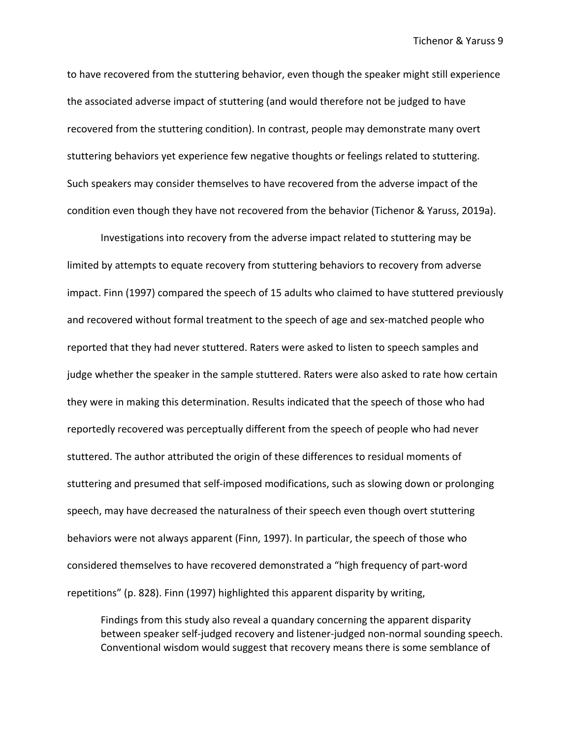to have recovered from the stuttering behavior, even though the speaker might still experience the associated adverse impact of stuttering (and would therefore not be judged to have recovered from the stuttering condition). In contrast, people may demonstrate many overt stuttering behaviors yet experience few negative thoughts or feelings related to stuttering. Such speakers may consider themselves to have recovered from the adverse impact of the condition even though they have not recovered from the behavior (Tichenor & Yaruss, 2019a).

Investigations into recovery from the adverse impact related to stuttering may be limited by attempts to equate recovery from stuttering behaviors to recovery from adverse impact. Finn (1997) compared the speech of 15 adults who claimed to have stuttered previously and recovered without formal treatment to the speech of age and sex-matched people who reported that they had never stuttered. Raters were asked to listen to speech samples and judge whether the speaker in the sample stuttered. Raters were also asked to rate how certain they were in making this determination. Results indicated that the speech of those who had reportedly recovered was perceptually different from the speech of people who had never stuttered. The author attributed the origin of these differences to residual moments of stuttering and presumed that self-imposed modifications, such as slowing down or prolonging speech, may have decreased the naturalness of their speech even though overt stuttering behaviors were not always apparent (Finn, 1997). In particular, the speech of those who considered themselves to have recovered demonstrated a "high frequency of part-word repetitions" (p. 828). Finn (1997) highlighted this apparent disparity by writing,

Findings from this study also reveal a quandary concerning the apparent disparity between speaker self-judged recovery and listener-judged non-normal sounding speech. Conventional wisdom would suggest that recovery means there is some semblance of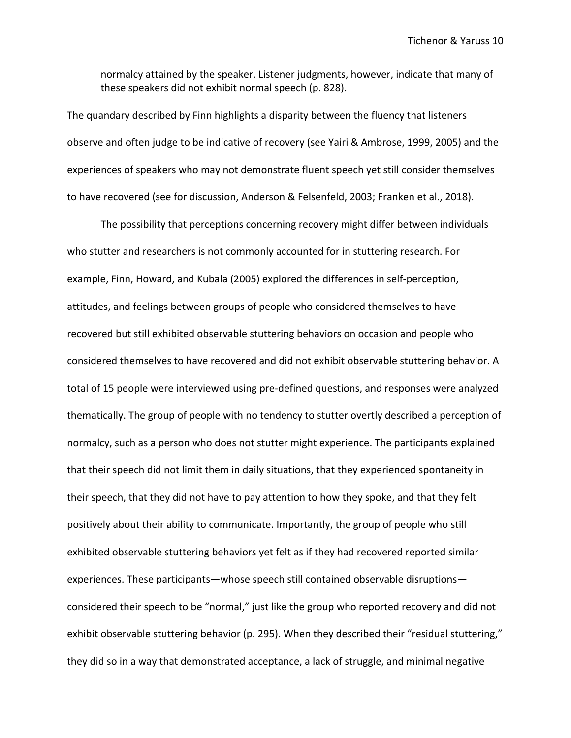normalcy attained by the speaker. Listener judgments, however, indicate that many of these speakers did not exhibit normal speech (p. 828).

The quandary described by Finn highlights a disparity between the fluency that listeners observe and often judge to be indicative of recovery (see Yairi & Ambrose, 1999, 2005) and the experiences of speakers who may not demonstrate fluent speech yet still consider themselves to have recovered (see for discussion, Anderson & Felsenfeld, 2003; Franken et al., 2018).

The possibility that perceptions concerning recovery might differ between individuals who stutter and researchers is not commonly accounted for in stuttering research. For example, Finn, Howard, and Kubala (2005) explored the differences in self-perception, attitudes, and feelings between groups of people who considered themselves to have recovered but still exhibited observable stuttering behaviors on occasion and people who considered themselves to have recovered and did not exhibit observable stuttering behavior. A total of 15 people were interviewed using pre-defined questions, and responses were analyzed thematically. The group of people with no tendency to stutter overtly described a perception of normalcy, such as a person who does not stutter might experience. The participants explained that their speech did not limit them in daily situations, that they experienced spontaneity in their speech, that they did not have to pay attention to how they spoke, and that they felt positively about their ability to communicate. Importantly, the group of people who still exhibited observable stuttering behaviors yet felt as if they had recovered reported similar experiences. These participants—whose speech still contained observable disruptions considered their speech to be "normal," just like the group who reported recovery and did not exhibit observable stuttering behavior (p. 295). When they described their "residual stuttering," they did so in a way that demonstrated acceptance, a lack of struggle, and minimal negative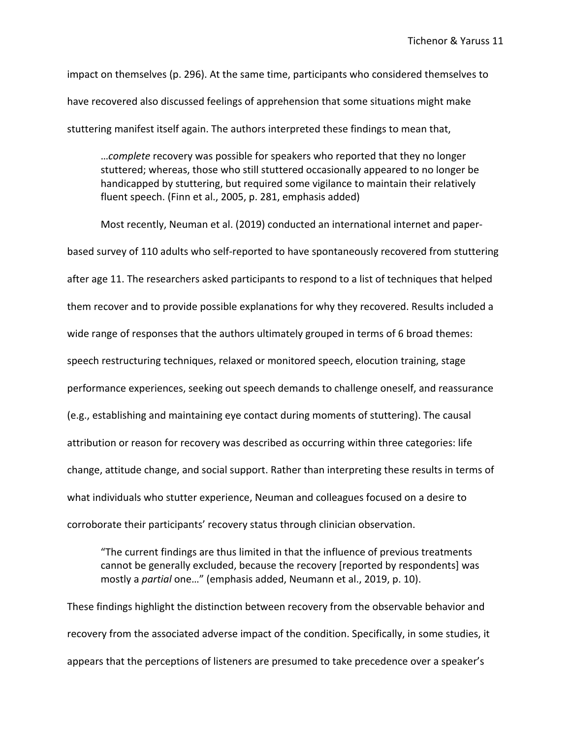impact on themselves (p. 296). At the same time, participants who considered themselves to have recovered also discussed feelings of apprehension that some situations might make stuttering manifest itself again. The authors interpreted these findings to mean that,

…*complete* recovery was possible for speakers who reported that they no longer stuttered; whereas, those who still stuttered occasionally appeared to no longer be handicapped by stuttering, but required some vigilance to maintain their relatively fluent speech. (Finn et al., 2005, p. 281, emphasis added)

Most recently, Neuman et al. (2019) conducted an international internet and paperbased survey of 110 adults who self-reported to have spontaneously recovered from stuttering after age 11. The researchers asked participants to respond to a list of techniques that helped them recover and to provide possible explanations for why they recovered. Results included a wide range of responses that the authors ultimately grouped in terms of 6 broad themes: speech restructuring techniques, relaxed or monitored speech, elocution training, stage performance experiences, seeking out speech demands to challenge oneself, and reassurance (e.g., establishing and maintaining eye contact during moments of stuttering). The causal attribution or reason for recovery was described as occurring within three categories: life change, attitude change, and social support. Rather than interpreting these results in terms of what individuals who stutter experience, Neuman and colleagues focused on a desire to corroborate their participants' recovery status through clinician observation.

"The current findings are thus limited in that the influence of previous treatments cannot be generally excluded, because the recovery [reported by respondents] was mostly a *partial* one…" (emphasis added, Neumann et al., 2019, p. 10).

These findings highlight the distinction between recovery from the observable behavior and recovery from the associated adverse impact of the condition. Specifically, in some studies, it appears that the perceptions of listeners are presumed to take precedence over a speaker's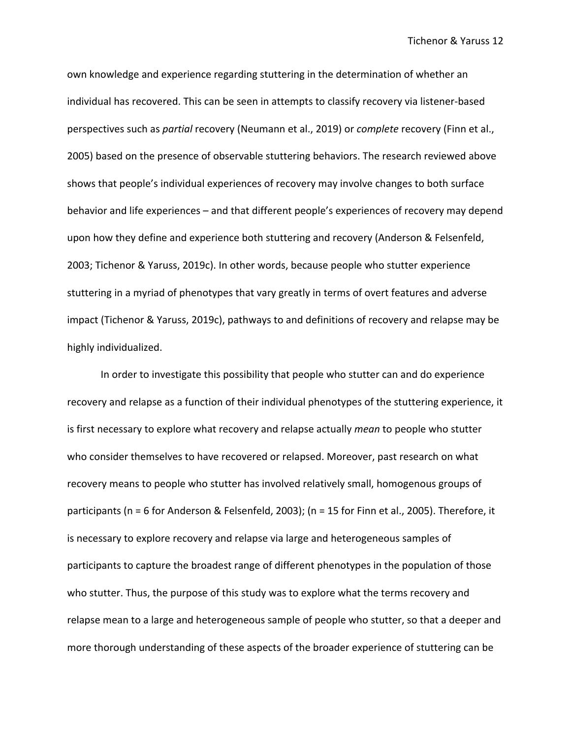own knowledge and experience regarding stuttering in the determination of whether an individual has recovered. This can be seen in attempts to classify recovery via listener-based perspectives such as *partial* recovery (Neumann et al., 2019) or *complete* recovery (Finn et al., 2005) based on the presence of observable stuttering behaviors. The research reviewed above shows that people's individual experiences of recovery may involve changes to both surface behavior and life experiences – and that different people's experiences of recovery may depend upon how they define and experience both stuttering and recovery (Anderson & Felsenfeld, 2003; Tichenor & Yaruss, 2019c). In other words, because people who stutter experience stuttering in a myriad of phenotypes that vary greatly in terms of overt features and adverse impact (Tichenor & Yaruss, 2019c), pathways to and definitions of recovery and relapse may be highly individualized.

In order to investigate this possibility that people who stutter can and do experience recovery and relapse as a function of their individual phenotypes of the stuttering experience, it is first necessary to explore what recovery and relapse actually *mean* to people who stutter who consider themselves to have recovered or relapsed. Moreover, past research on what recovery means to people who stutter has involved relatively small, homogenous groups of participants (n = 6 for Anderson & Felsenfeld, 2003); (n = 15 for Finn et al., 2005). Therefore, it is necessary to explore recovery and relapse via large and heterogeneous samples of participants to capture the broadest range of different phenotypes in the population of those who stutter. Thus, the purpose of this study was to explore what the terms recovery and relapse mean to a large and heterogeneous sample of people who stutter, so that a deeper and more thorough understanding of these aspects of the broader experience of stuttering can be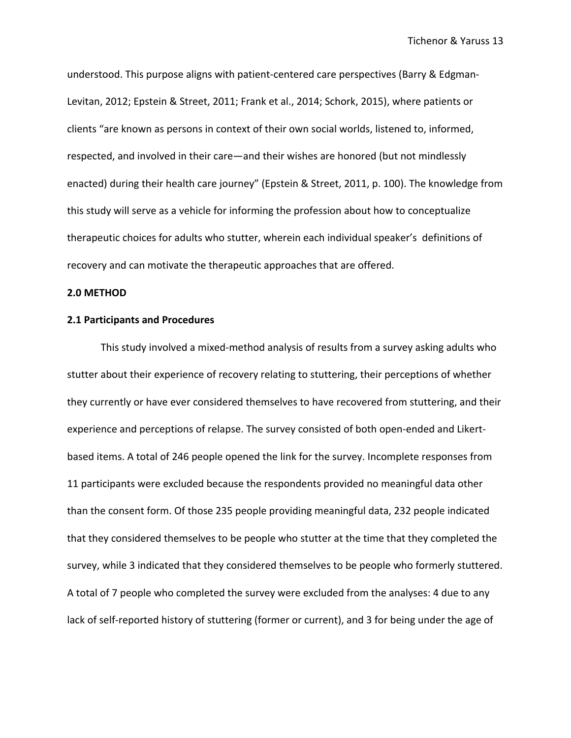understood. This purpose aligns with patient-centered care perspectives (Barry & Edgman-Levitan, 2012; Epstein & Street, 2011; Frank et al., 2014; Schork, 2015), where patients or clients "are known as persons in context of their own social worlds, listened to, informed, respected, and involved in their care—and their wishes are honored (but not mindlessly enacted) during their health care journey" (Epstein & Street, 2011, p. 100). The knowledge from this study will serve as a vehicle for informing the profession about how to conceptualize therapeutic choices for adults who stutter, wherein each individual speaker's definitions of recovery and can motivate the therapeutic approaches that are offered.

### **2.0 METHOD**

## **2.1 Participants and Procedures**

This study involved a mixed-method analysis of results from a survey asking adults who stutter about their experience of recovery relating to stuttering, their perceptions of whether they currently or have ever considered themselves to have recovered from stuttering, and their experience and perceptions of relapse. The survey consisted of both open-ended and Likertbased items. A total of 246 people opened the link for the survey. Incomplete responses from 11 participants were excluded because the respondents provided no meaningful data other than the consent form. Of those 235 people providing meaningful data, 232 people indicated that they considered themselves to be people who stutter at the time that they completed the survey, while 3 indicated that they considered themselves to be people who formerly stuttered. A total of 7 people who completed the survey were excluded from the analyses: 4 due to any lack of self-reported history of stuttering (former or current), and 3 for being under the age of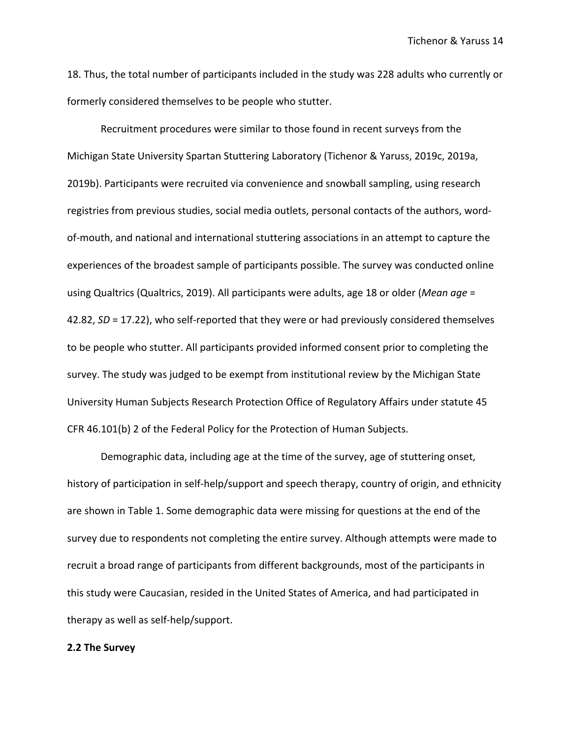18. Thus, the total number of participants included in the study was 228 adults who currently or formerly considered themselves to be people who stutter.

Recruitment procedures were similar to those found in recent surveys from the Michigan State University Spartan Stuttering Laboratory (Tichenor & Yaruss, 2019c, 2019a, 2019b). Participants were recruited via convenience and snowball sampling, using research registries from previous studies, social media outlets, personal contacts of the authors, wordof-mouth, and national and international stuttering associations in an attempt to capture the experiences of the broadest sample of participants possible. The survey was conducted online using Qualtrics (Qualtrics, 2019). All participants were adults, age 18 or older (*Mean age* = 42.82, *SD* = 17.22), who self-reported that they were or had previously considered themselves to be people who stutter. All participants provided informed consent prior to completing the survey. The study was judged to be exempt from institutional review by the Michigan State University Human Subjects Research Protection Office of Regulatory Affairs under statute 45 CFR 46.101(b) 2 of the Federal Policy for the Protection of Human Subjects.

Demographic data, including age at the time of the survey, age of stuttering onset, history of participation in self-help/support and speech therapy, country of origin, and ethnicity are shown in Table 1. Some demographic data were missing for questions at the end of the survey due to respondents not completing the entire survey. Although attempts were made to recruit a broad range of participants from different backgrounds, most of the participants in this study were Caucasian, resided in the United States of America, and had participated in therapy as well as self-help/support.

### **2.2 The Survey**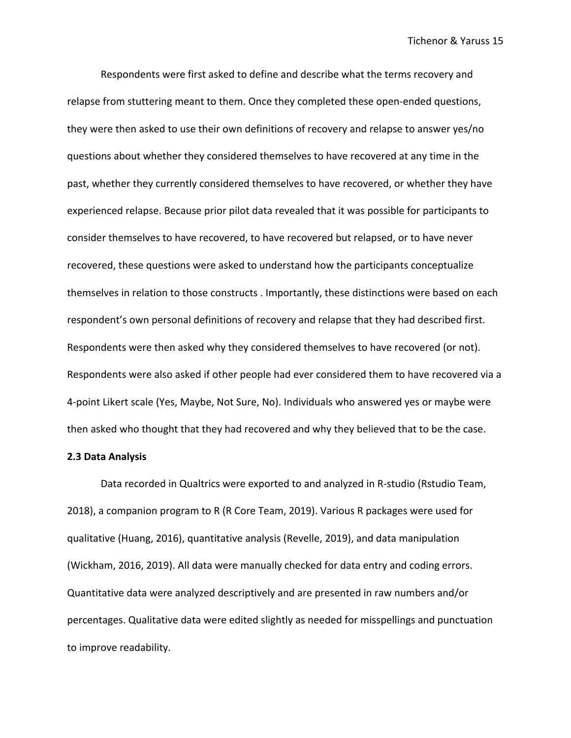Respondents were first asked to define and describe what the terms recovery and relapse from stuttering meant to them. Once they completed these open-ended questions, they were then asked to use their own definitions of recovery and relapse to answer yes/no questions about whether they considered themselves to have recovered at any time in the past, whether they currently considered themselves to have recovered, or whether they have experienced relapse. Because prior pilot data revealed that it was possible for participants to consider themselves to have recovered, to have recovered but relapsed, or to have never recovered, these questions were asked to understand how the participants conceptualize themselves in relation to those constructs . Importantly, these distinctions were based on each respondent's own personal definitions of recovery and relapse that they had described first. Respondents were then asked why they considered themselves to have recovered (or not). Respondents were also asked if other people had ever considered them to have recovered via a 4-point Likert scale (Yes, Maybe, Not Sure, No). Individuals who answered yes or maybe were then asked who thought that they had recovered and why they believed that to be the case.

### **2.3 Data Analysis**

Data recorded in Qualtrics were exported to and analyzed in R-studio (Rstudio Team, 2018), a companion program to R (R Core Team, 2019). Various R packages were used for qualitative (Huang, 2016), quantitative analysis (Revelle, 2019), and data manipulation (Wickham, 2016, 2019). All data were manually checked for data entry and coding errors. Quantitative data were analyzed descriptively and are presented in raw numbers and/or percentages. Qualitative data were edited slightly as needed for misspellings and punctuation to improve readability.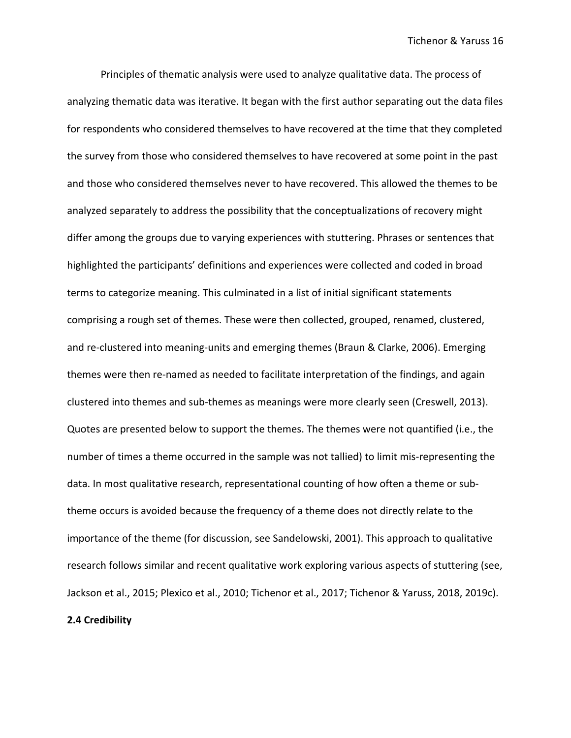Principles of thematic analysis were used to analyze qualitative data. The process of analyzing thematic data was iterative. It began with the first author separating out the data files for respondents who considered themselves to have recovered at the time that they completed the survey from those who considered themselves to have recovered at some point in the past and those who considered themselves never to have recovered. This allowed the themes to be analyzed separately to address the possibility that the conceptualizations of recovery might differ among the groups due to varying experiences with stuttering. Phrases or sentences that highlighted the participants' definitions and experiences were collected and coded in broad terms to categorize meaning. This culminated in a list of initial significant statements comprising a rough set of themes. These were then collected, grouped, renamed, clustered, and re-clustered into meaning-units and emerging themes (Braun & Clarke, 2006). Emerging themes were then re-named as needed to facilitate interpretation of the findings, and again clustered into themes and sub-themes as meanings were more clearly seen (Creswell, 2013). Quotes are presented below to support the themes. The themes were not quantified (i.e., the number of times a theme occurred in the sample was not tallied) to limit mis-representing the data. In most qualitative research, representational counting of how often a theme or subtheme occurs is avoided because the frequency of a theme does not directly relate to the importance of the theme (for discussion, see Sandelowski, 2001). This approach to qualitative research follows similar and recent qualitative work exploring various aspects of stuttering (see, Jackson et al., 2015; Plexico et al., 2010; Tichenor et al., 2017; Tichenor & Yaruss, 2018, 2019c).

## **2.4 Credibility**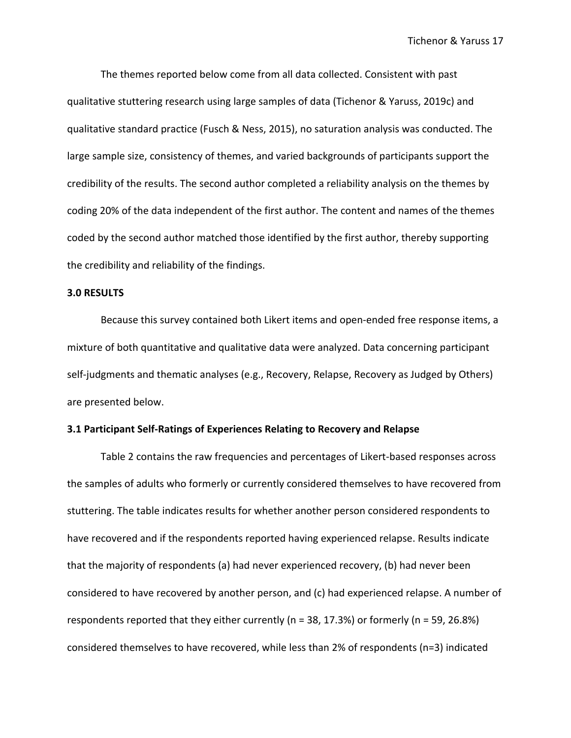The themes reported below come from all data collected. Consistent with past qualitative stuttering research using large samples of data (Tichenor & Yaruss, 2019c) and qualitative standard practice (Fusch & Ness, 2015), no saturation analysis was conducted. The large sample size, consistency of themes, and varied backgrounds of participants support the credibility of the results. The second author completed a reliability analysis on the themes by coding 20% of the data independent of the first author. The content and names of the themes coded by the second author matched those identified by the first author, thereby supporting the credibility and reliability of the findings.

## **3.0 RESULTS**

Because this survey contained both Likert items and open-ended free response items, a mixture of both quantitative and qualitative data were analyzed. Data concerning participant self-judgments and thematic analyses (e.g., Recovery, Relapse, Recovery as Judged by Others) are presented below.

### **3.1 Participant Self-Ratings of Experiences Relating to Recovery and Relapse**

Table 2 contains the raw frequencies and percentages of Likert-based responses across the samples of adults who formerly or currently considered themselves to have recovered from stuttering. The table indicates results for whether another person considered respondents to have recovered and if the respondents reported having experienced relapse. Results indicate that the majority of respondents (a) had never experienced recovery, (b) had never been considered to have recovered by another person, and (c) had experienced relapse. A number of respondents reported that they either currently (n = 38, 17.3%) or formerly (n = 59, 26.8%) considered themselves to have recovered, while less than 2% of respondents (n=3) indicated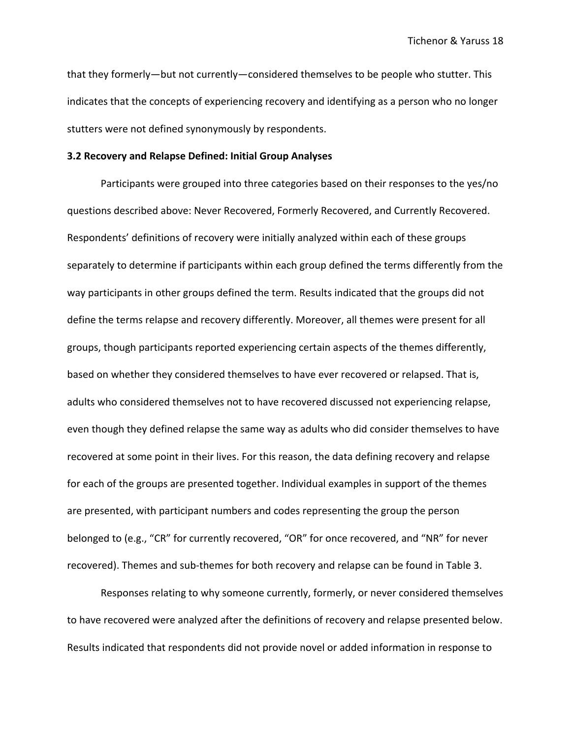that they formerly—but not currently—considered themselves to be people who stutter. This indicates that the concepts of experiencing recovery and identifying as a person who no longer stutters were not defined synonymously by respondents.

#### **3.2 Recovery and Relapse Defined: Initial Group Analyses**

Participants were grouped into three categories based on their responses to the yes/no questions described above: Never Recovered, Formerly Recovered, and Currently Recovered. Respondents' definitions of recovery were initially analyzed within each of these groups separately to determine if participants within each group defined the terms differently from the way participants in other groups defined the term. Results indicated that the groups did not define the terms relapse and recovery differently. Moreover, all themes were present for all groups, though participants reported experiencing certain aspects of the themes differently, based on whether they considered themselves to have ever recovered or relapsed. That is, adults who considered themselves not to have recovered discussed not experiencing relapse, even though they defined relapse the same way as adults who did consider themselves to have recovered at some point in their lives. For this reason, the data defining recovery and relapse for each of the groups are presented together. Individual examples in support of the themes are presented, with participant numbers and codes representing the group the person belonged to (e.g., "CR" for currently recovered, "OR" for once recovered, and "NR" for never recovered). Themes and sub-themes for both recovery and relapse can be found in Table 3.

Responses relating to why someone currently, formerly, or never considered themselves to have recovered were analyzed after the definitions of recovery and relapse presented below. Results indicated that respondents did not provide novel or added information in response to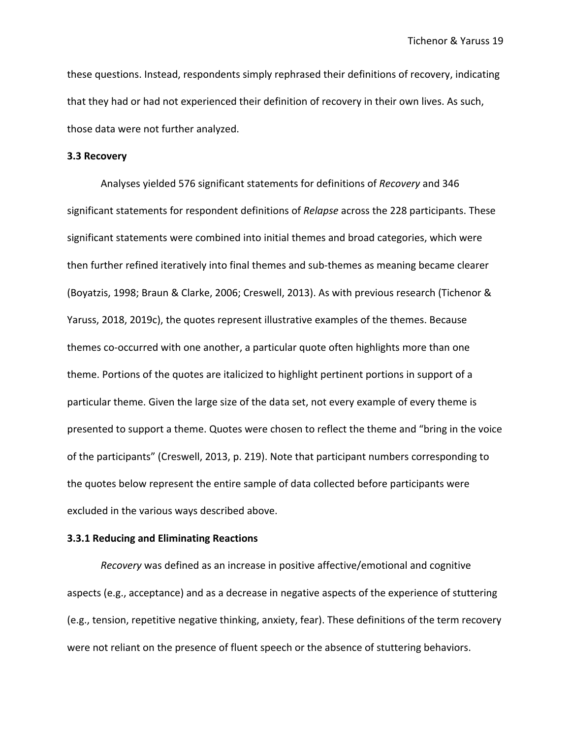these questions. Instead, respondents simply rephrased their definitions of recovery, indicating that they had or had not experienced their definition of recovery in their own lives. As such, those data were not further analyzed.

### **3.3 Recovery**

Analyses yielded 576 significant statements for definitions of *Recovery* and 346 significant statements for respondent definitions of *Relapse* across the 228 participants. These significant statements were combined into initial themes and broad categories, which were then further refined iteratively into final themes and sub-themes as meaning became clearer (Boyatzis, 1998; Braun & Clarke, 2006; Creswell, 2013). As with previous research (Tichenor & Yaruss, 2018, 2019c), the quotes represent illustrative examples of the themes. Because themes co-occurred with one another, a particular quote often highlights more than one theme. Portions of the quotes are italicized to highlight pertinent portions in support of a particular theme. Given the large size of the data set, not every example of every theme is presented to support a theme. Quotes were chosen to reflect the theme and "bring in the voice of the participants" (Creswell, 2013, p. 219). Note that participant numbers corresponding to the quotes below represent the entire sample of data collected before participants were excluded in the various ways described above.

## **3.3.1 Reducing and Eliminating Reactions**

*Recovery* was defined as an increase in positive affective/emotional and cognitive aspects (e.g., acceptance) and as a decrease in negative aspects of the experience of stuttering (e.g., tension, repetitive negative thinking, anxiety, fear). These definitions of the term recovery were not reliant on the presence of fluent speech or the absence of stuttering behaviors.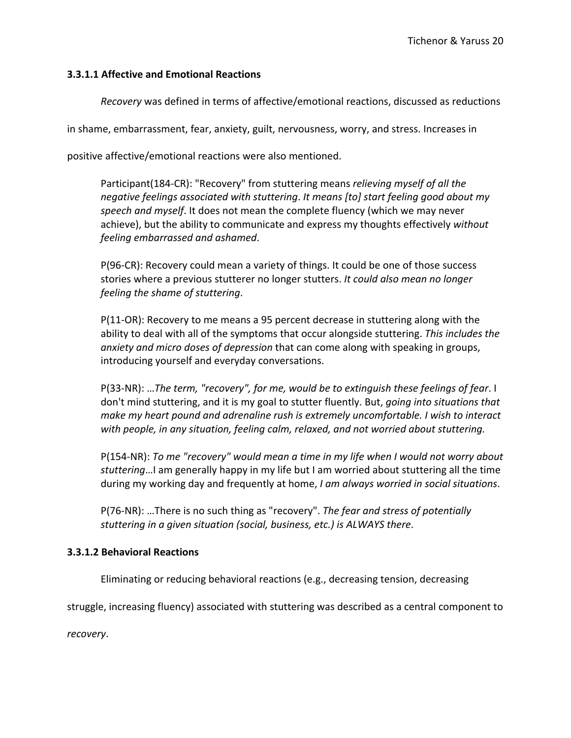# **3.3.1.1 Affective and Emotional Reactions**

*Recovery* was defined in terms of affective/emotional reactions, discussed as reductions

in shame, embarrassment, fear, anxiety, guilt, nervousness, worry, and stress. Increases in

positive affective/emotional reactions were also mentioned.

Participant(184-CR): "Recovery" from stuttering means *relieving myself of all the negative feelings associated with stuttering*. *It means [to] start feeling good about my speech and myself*. It does not mean the complete fluency (which we may never achieve), but the ability to communicate and express my thoughts effectively *without feeling embarrassed and ashamed*.

P(96-CR): Recovery could mean a variety of things. It could be one of those success stories where a previous stutterer no longer stutters. *It could also mean no longer feeling the shame of stuttering*.

P(11-OR): Recovery to me means a 95 percent decrease in stuttering along with the ability to deal with all of the symptoms that occur alongside stuttering. *This includes the anxiety and micro doses of depression* that can come along with speaking in groups, introducing yourself and everyday conversations.

P(33-NR): …*The term, "recovery", for me, would be to extinguish these feelings of fear*. I don't mind stuttering, and it is my goal to stutter fluently. But, *going into situations that make my heart pound and adrenaline rush is extremely uncomfortable. I wish to interact with people, in any situation, feeling calm, relaxed, and not worried about stuttering.*

P(154-NR): *To me "recovery" would mean a time in my life when I would not worry about stuttering*…I am generally happy in my life but I am worried about stuttering all the time during my working day and frequently at home, *I am always worried in social situations*.

P(76-NR): …There is no such thing as "recovery". *The fear and stress of potentially stuttering in a given situation (social, business, etc.) is ALWAYS there*.

# **3.3.1.2 Behavioral Reactions**

Eliminating or reducing behavioral reactions (e.g., decreasing tension, decreasing

struggle, increasing fluency) associated with stuttering was described as a central component to

*recovery*.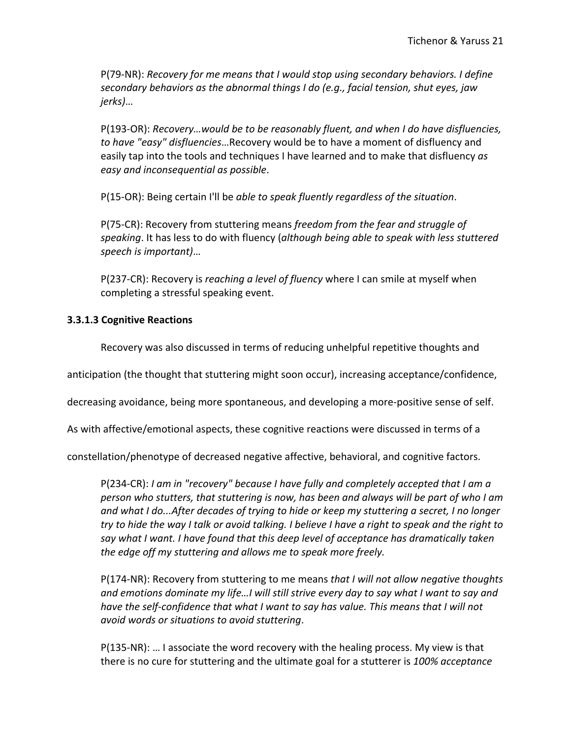P(79-NR): *Recovery for me means that I would stop using secondary behaviors. I define secondary behaviors as the abnormal things I do (e.g., facial tension, shut eyes, jaw jerks)*…

P(193-OR): *Recovery…would be to be reasonably fluent, and when I do have disfluencies, to have "easy" disfluencies*…Recovery would be to have a moment of disfluency and easily tap into the tools and techniques I have learned and to make that disfluency *as easy and inconsequential as possible*.

P(15-OR): Being certain I'll be *able to speak fluently regardless of the situation*.

P(75-CR): Recovery from stuttering means *freedom from the fear and struggle of speaking*. It has less to do with fluency (*although being able to speak with less stuttered speech is important)*…

P(237-CR): Recovery is *reaching a level of fluency* where I can smile at myself when completing a stressful speaking event.

# **3.3.1.3 Cognitive Reactions**

Recovery was also discussed in terms of reducing unhelpful repetitive thoughts and

anticipation (the thought that stuttering might soon occur), increasing acceptance/confidence,

decreasing avoidance, being more spontaneous, and developing a more-positive sense of self.

As with affective/emotional aspects, these cognitive reactions were discussed in terms of a

constellation/phenotype of decreased negative affective, behavioral, and cognitive factors.

P(234-CR): *I am in "recovery" because I have fully and completely accepted that I am a person who stutters, that stuttering is now, has been and always will be part of who I am and what I do...After decades of trying to hide or keep my stuttering a secret, I no longer try to hide the way I talk or avoid talking. I believe I have a right to speak and the right to say what I want. I have found that this deep level of acceptance has dramatically taken the edge off my stuttering and allows me to speak more freely.*

P(174-NR): Recovery from stuttering to me means *that I will not allow negative thoughts and emotions dominate my life…I will still strive every day to say what I want to say and have the self-confidence that what I want to say has value. This means that I will not avoid words or situations to avoid stuttering*.

P(135-NR): … I associate the word recovery with the healing process. My view is that there is no cure for stuttering and the ultimate goal for a stutterer is *100% acceptance*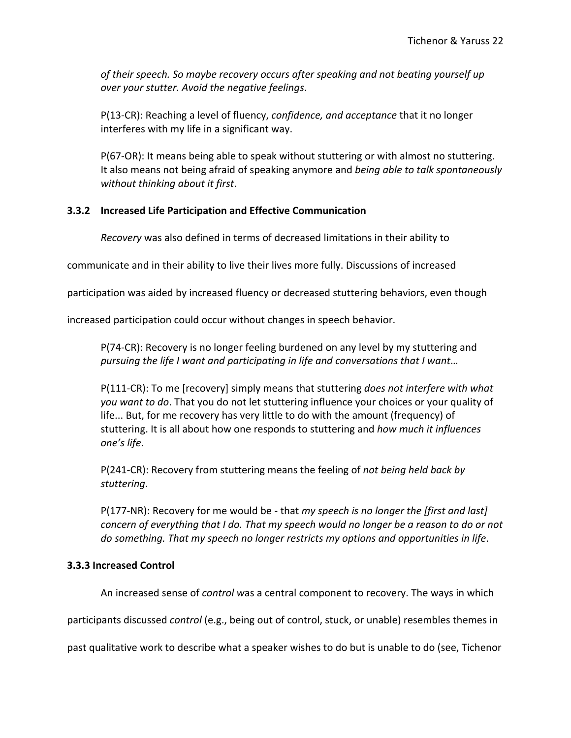*of their speech. So maybe recovery occurs after speaking and not beating yourself up over your stutter. Avoid the negative feelings*.

P(13-CR): Reaching a level of fluency, *confidence, and acceptance* that it no longer interferes with my life in a significant way.

P(67-OR): It means being able to speak without stuttering or with almost no stuttering. It also means not being afraid of speaking anymore and *being able to talk spontaneously without thinking about it first*.

# **3.3.2 Increased Life Participation and Effective Communication**

*Recovery* was also defined in terms of decreased limitations in their ability to

communicate and in their ability to live their lives more fully. Discussions of increased

participation was aided by increased fluency or decreased stuttering behaviors, even though

increased participation could occur without changes in speech behavior.

P(74-CR): Recovery is no longer feeling burdened on any level by my stuttering and *pursuing the life I want and participating in life and conversations that I want*…

P(111-CR): To me [recovery] simply means that stuttering *does not interfere with what you want to do*. That you do not let stuttering influence your choices or your quality of life... But, for me recovery has very little to do with the amount (frequency) of stuttering. It is all about how one responds to stuttering and *how much it influences one's life*.

P(241-CR): Recovery from stuttering means the feeling of *not being held back by stuttering*.

P(177-NR): Recovery for me would be - that *my speech is no longer the [first and last] concern of everything that I do. That my speech would no longer be a reason to do or not do something. That my speech no longer restricts my options and opportunities in life*.

# **3.3.3 Increased Control**

An increased sense of *control w*as a central component to recovery. The ways in which

participants discussed *control* (e.g., being out of control, stuck, or unable) resembles themes in

past qualitative work to describe what a speaker wishes to do but is unable to do (see, Tichenor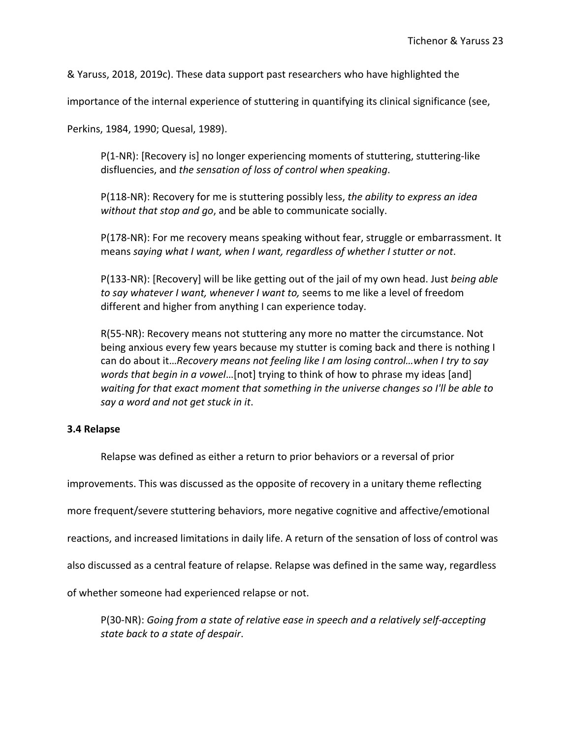& Yaruss, 2018, 2019c). These data support past researchers who have highlighted the

importance of the internal experience of stuttering in quantifying its clinical significance (see,

Perkins, 1984, 1990; Quesal, 1989).

P(1-NR): [Recovery is] no longer experiencing moments of stuttering, stuttering-like disfluencies, and *the sensation of loss of control when speaking*.

P(118-NR): Recovery for me is stuttering possibly less, *the ability to express an idea without that stop and go*, and be able to communicate socially.

P(178-NR): For me recovery means speaking without fear, struggle or embarrassment. It means *saying what I want, when I want, regardless of whether I stutter or not*.

P(133-NR): [Recovery] will be like getting out of the jail of my own head. Just *being able to say whatever I want, whenever I want to,* seems to me like a level of freedom different and higher from anything I can experience today.

R(55-NR): Recovery means not stuttering any more no matter the circumstance. Not being anxious every few years because my stutter is coming back and there is nothing I can do about it…*Recovery means not feeling like I am losing control…when I try to say words that begin in a vowel*…[not] trying to think of how to phrase my ideas [and] *waiting for that exact moment that something in the universe changes so I'll be able to say a word and not get stuck in it*.

# **3.4 Relapse**

Relapse was defined as either a return to prior behaviors or a reversal of prior

improvements. This was discussed as the opposite of recovery in a unitary theme reflecting

more frequent/severe stuttering behaviors, more negative cognitive and affective/emotional

reactions, and increased limitations in daily life. A return of the sensation of loss of control was

also discussed as a central feature of relapse. Relapse was defined in the same way, regardless

of whether someone had experienced relapse or not.

P(30-NR): *Going from a state of relative ease in speech and a relatively self-accepting state back to a state of despair*.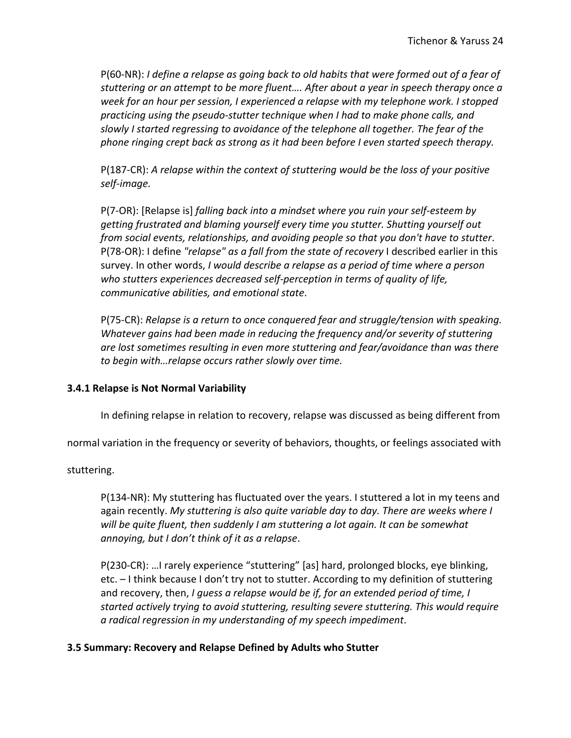P(60-NR): *I define a relapse as going back to old habits that were formed out of a fear of stuttering or an attempt to be more fluent…. After about a year in speech therapy once a week for an hour per session, I experienced a relapse with my telephone work. I stopped practicing using the pseudo-stutter technique when I had to make phone calls, and slowly I started regressing to avoidance of the telephone all together. The fear of the phone ringing crept back as strong as it had been before I even started speech therapy.*

P(187-CR): *A relapse within the context of stuttering would be the loss of your positive self-image.*

P(7-OR): [Relapse is] *falling back into a mindset where you ruin your self-esteem by getting frustrated and blaming yourself every time you stutter. Shutting yourself out from social events, relationships, and avoiding people so that you don't have to stutter*. P(78-OR): I define *"relapse" as a fall from the state of recovery* I described earlier in this survey. In other words, *I would describe a relapse as a period of time where a person who stutters experiences decreased self-perception in terms of quality of life, communicative abilities, and emotional state*.

P(75-CR): *Relapse is a return to once conquered fear and struggle/tension with speaking. Whatever gains had been made in reducing the frequency and/or severity of stuttering are lost sometimes resulting in even more stuttering and fear/avoidance than was there to begin with…relapse occurs rather slowly over time.* 

# **3.4.1 Relapse is Not Normal Variability**

In defining relapse in relation to recovery, relapse was discussed as being different from

normal variation in the frequency or severity of behaviors, thoughts, or feelings associated with

stuttering.

P(134-NR): My stuttering has fluctuated over the years. I stuttered a lot in my teens and again recently. *My stuttering is also quite variable day to day. There are weeks where I will be quite fluent, then suddenly I am stuttering a lot again. It can be somewhat annoying, but I don't think of it as a relapse*.

P(230-CR): …I rarely experience "stuttering" [as] hard, prolonged blocks, eye blinking, etc. – I think because I don't try not to stutter. According to my definition of stuttering and recovery, then, *I guess a relapse would be if, for an extended period of time, I started actively trying to avoid stuttering, resulting severe stuttering. This would require a radical regression in my understanding of my speech impediment*.

# **3.5 Summary: Recovery and Relapse Defined by Adults who Stutter**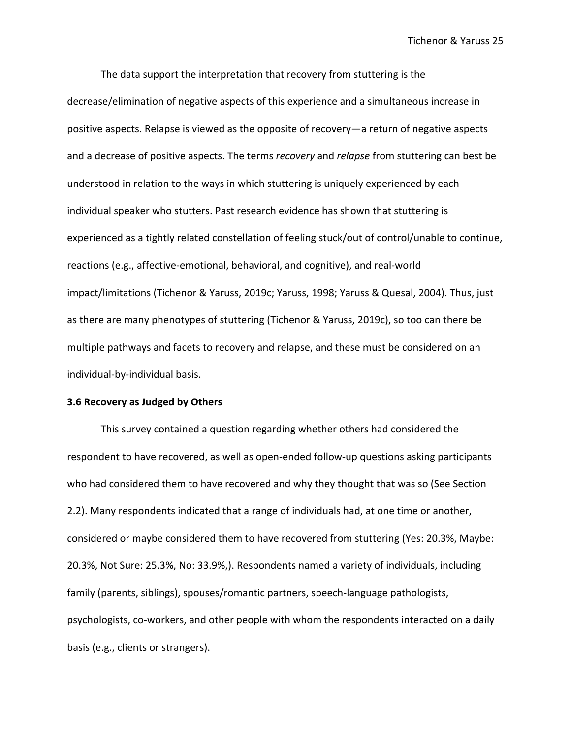The data support the interpretation that recovery from stuttering is the decrease/elimination of negative aspects of this experience and a simultaneous increase in positive aspects. Relapse is viewed as the opposite of recovery—a return of negative aspects and a decrease of positive aspects. The terms *recovery* and *relapse* from stuttering can best be understood in relation to the ways in which stuttering is uniquely experienced by each individual speaker who stutters. Past research evidence has shown that stuttering is experienced as a tightly related constellation of feeling stuck/out of control/unable to continue, reactions (e.g., affective-emotional, behavioral, and cognitive), and real-world impact/limitations (Tichenor & Yaruss, 2019c; Yaruss, 1998; Yaruss & Quesal, 2004). Thus, just as there are many phenotypes of stuttering (Tichenor & Yaruss, 2019c), so too can there be multiple pathways and facets to recovery and relapse, and these must be considered on an individual-by-individual basis.

### **3.6 Recovery as Judged by Others**

This survey contained a question regarding whether others had considered the respondent to have recovered, as well as open-ended follow-up questions asking participants who had considered them to have recovered and why they thought that was so (See Section 2.2). Many respondents indicated that a range of individuals had, at one time or another, considered or maybe considered them to have recovered from stuttering (Yes: 20.3%, Maybe: 20.3%, Not Sure: 25.3%, No: 33.9%,). Respondents named a variety of individuals, including family (parents, siblings), spouses/romantic partners, speech-language pathologists, psychologists, co-workers, and other people with whom the respondents interacted on a daily basis (e.g., clients or strangers).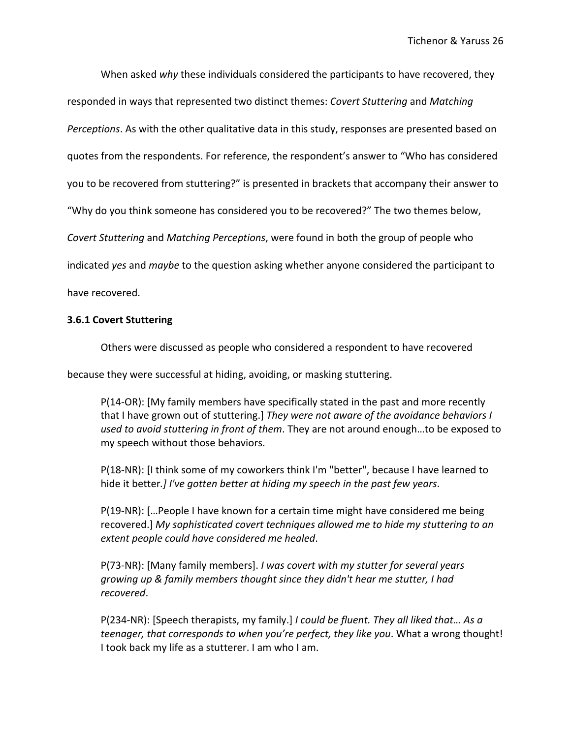When asked *why* these individuals considered the participants to have recovered, they

responded in ways that represented two distinct themes: *Covert Stuttering* and *Matching* 

*Perceptions*. As with the other qualitative data in this study, responses are presented based on

quotes from the respondents. For reference, the respondent's answer to "Who has considered

you to be recovered from stuttering?" is presented in brackets that accompany their answer to

"Why do you think someone has considered you to be recovered?" The two themes below,

*Covert Stuttering* and *Matching Perceptions*, were found in both the group of people who

indicated *yes* and *maybe* to the question asking whether anyone considered the participant to

have recovered.

# **3.6.1 Covert Stuttering**

Others were discussed as people who considered a respondent to have recovered

because they were successful at hiding, avoiding, or masking stuttering.

P(14-OR): [My family members have specifically stated in the past and more recently that I have grown out of stuttering.] *They were not aware of the avoidance behaviors I used to avoid stuttering in front of them*. They are not around enough…to be exposed to my speech without those behaviors.

P(18-NR): [I think some of my coworkers think I'm "better", because I have learned to hide it better*.] I've gotten better at hiding my speech in the past few years*.

P(19-NR): […People I have known for a certain time might have considered me being recovered.] *My sophisticated covert techniques allowed me to hide my stuttering to an extent people could have considered me healed*.

P(73-NR): [Many family members]. *I was covert with my stutter for several years growing up & family members thought since they didn't hear me stutter, I had recovered*.

P(234-NR): [Speech therapists, my family.] *I could be fluent. They all liked that… As a teenager, that corresponds to when you're perfect, they like you*. What a wrong thought! I took back my life as a stutterer. I am who I am.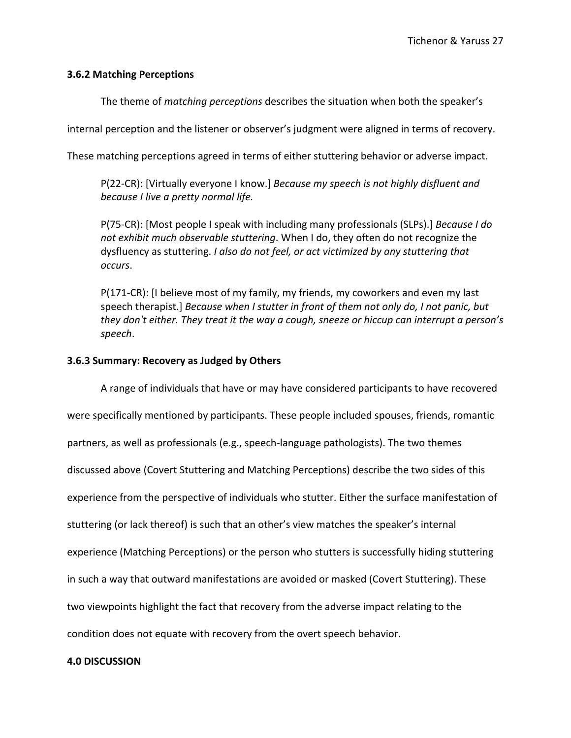# **3.6.2 Matching Perceptions**

The theme of *matching perceptions* describes the situation when both the speaker's

internal perception and the listener or observer's judgment were aligned in terms of recovery.

These matching perceptions agreed in terms of either stuttering behavior or adverse impact.

P(22-CR): [Virtually everyone I know.] *Because my speech is not highly disfluent and because I live a pretty normal life.*

P(75-CR): [Most people I speak with including many professionals (SLPs).] *Because I do not exhibit much observable stuttering*. When I do, they often do not recognize the dysfluency as stuttering. *I also do not feel, or act victimized by any stuttering that occurs*.

P(171-CR): [I believe most of my family, my friends, my coworkers and even my last speech therapist.] *Because when I stutter in front of them not only do, I not panic, but they don't either. They treat it the way a cough, sneeze or hiccup can interrupt a person's speech*.

# **3.6.3 Summary: Recovery as Judged by Others**

A range of individuals that have or may have considered participants to have recovered were specifically mentioned by participants. These people included spouses, friends, romantic partners, as well as professionals (e.g., speech-language pathologists). The two themes discussed above (Covert Stuttering and Matching Perceptions) describe the two sides of this experience from the perspective of individuals who stutter. Either the surface manifestation of stuttering (or lack thereof) is such that an other's view matches the speaker's internal experience (Matching Perceptions) or the person who stutters is successfully hiding stuttering in such a way that outward manifestations are avoided or masked (Covert Stuttering). These two viewpoints highlight the fact that recovery from the adverse impact relating to the condition does not equate with recovery from the overt speech behavior.

# **4.0 DISCUSSION**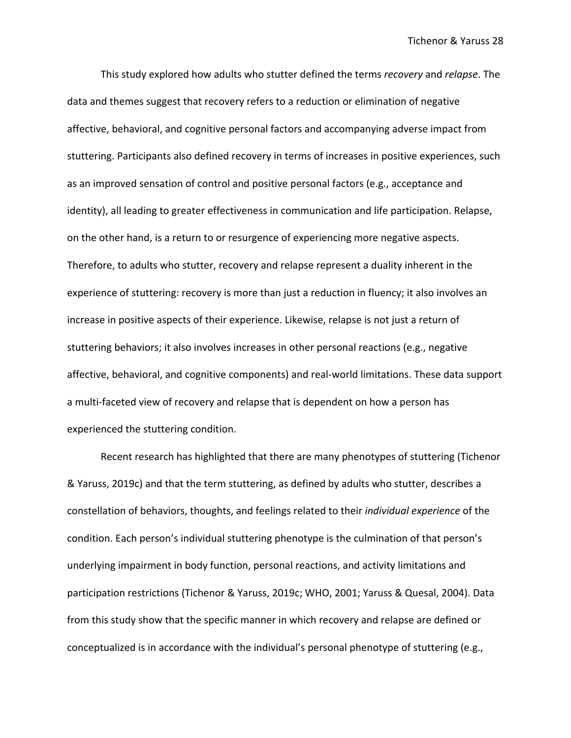This study explored how adults who stutter defined the terms *recovery* and *relapse*. The data and themes suggest that recovery refers to a reduction or elimination of negative affective, behavioral, and cognitive personal factors and accompanying adverse impact from stuttering. Participants also defined recovery in terms of increases in positive experiences, such as an improved sensation of control and positive personal factors (e.g., acceptance and identity), all leading to greater effectiveness in communication and life participation. Relapse, on the other hand, is a return to or resurgence of experiencing more negative aspects. Therefore, to adults who stutter, recovery and relapse represent a duality inherent in the experience of stuttering: recovery is more than just a reduction in fluency; it also involves an increase in positive aspects of their experience. Likewise, relapse is not just a return of stuttering behaviors; it also involves increases in other personal reactions (e.g., negative affective, behavioral, and cognitive components) and real-world limitations. These data support a multi-faceted view of recovery and relapse that is dependent on how a person has experienced the stuttering condition.

Recent research has highlighted that there are many phenotypes of stuttering (Tichenor & Yaruss, 2019c) and that the term stuttering, as defined by adults who stutter, describes a constellation of behaviors, thoughts, and feelings related to their *individual experience* of the condition. Each person's individual stuttering phenotype is the culmination of that person's underlying impairment in body function, personal reactions, and activity limitations and participation restrictions (Tichenor & Yaruss, 2019c; WHO, 2001; Yaruss & Quesal, 2004). Data from this study show that the specific manner in which recovery and relapse are defined or conceptualized is in accordance with the individual's personal phenotype of stuttering (e.g.,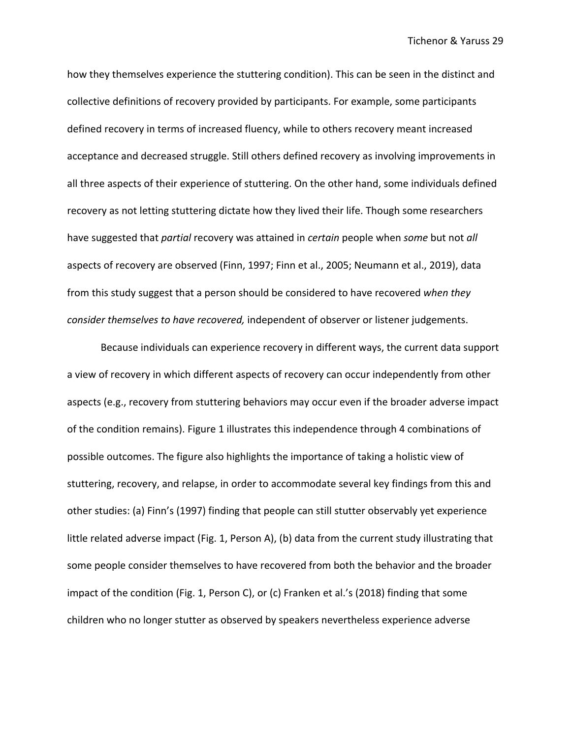how they themselves experience the stuttering condition). This can be seen in the distinct and collective definitions of recovery provided by participants. For example, some participants defined recovery in terms of increased fluency, while to others recovery meant increased acceptance and decreased struggle. Still others defined recovery as involving improvements in all three aspects of their experience of stuttering. On the other hand, some individuals defined recovery as not letting stuttering dictate how they lived their life. Though some researchers have suggested that *partial* recovery was attained in *certain* people when *some* but not *all* aspects of recovery are observed (Finn, 1997; Finn et al., 2005; Neumann et al., 2019), data from this study suggest that a person should be considered to have recovered *when they consider themselves to have recovered,* independent of observer or listener judgements.

Because individuals can experience recovery in different ways, the current data support a view of recovery in which different aspects of recovery can occur independently from other aspects (e.g., recovery from stuttering behaviors may occur even if the broader adverse impact of the condition remains). Figure 1 illustrates this independence through 4 combinations of possible outcomes. The figure also highlights the importance of taking a holistic view of stuttering, recovery, and relapse, in order to accommodate several key findings from this and other studies: (a) Finn's (1997) finding that people can still stutter observably yet experience little related adverse impact (Fig. 1, Person A), (b) data from the current study illustrating that some people consider themselves to have recovered from both the behavior and the broader impact of the condition (Fig. 1, Person C), or (c) Franken et al.'s (2018) finding that some children who no longer stutter as observed by speakers nevertheless experience adverse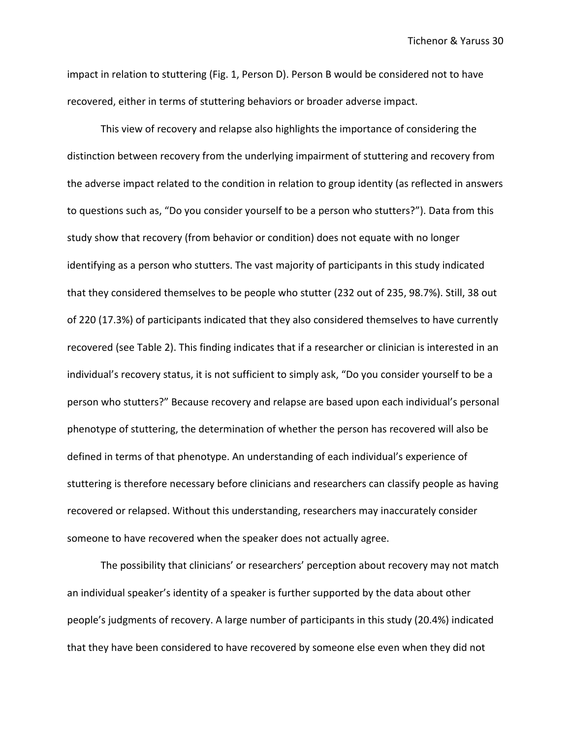Tichenor & Yaruss 30

impact in relation to stuttering (Fig. 1, Person D). Person B would be considered not to have recovered, either in terms of stuttering behaviors or broader adverse impact.

This view of recovery and relapse also highlights the importance of considering the distinction between recovery from the underlying impairment of stuttering and recovery from the adverse impact related to the condition in relation to group identity (as reflected in answers to questions such as, "Do you consider yourself to be a person who stutters?"). Data from this study show that recovery (from behavior or condition) does not equate with no longer identifying as a person who stutters. The vast majority of participants in this study indicated that they considered themselves to be people who stutter (232 out of 235, 98.7%). Still, 38 out of 220 (17.3%) of participants indicated that they also considered themselves to have currently recovered (see Table 2). This finding indicates that if a researcher or clinician is interested in an individual's recovery status, it is not sufficient to simply ask, "Do you consider yourself to be a person who stutters?" Because recovery and relapse are based upon each individual's personal phenotype of stuttering, the determination of whether the person has recovered will also be defined in terms of that phenotype. An understanding of each individual's experience of stuttering is therefore necessary before clinicians and researchers can classify people as having recovered or relapsed. Without this understanding, researchers may inaccurately consider someone to have recovered when the speaker does not actually agree.

The possibility that clinicians' or researchers' perception about recovery may not match an individual speaker's identity of a speaker is further supported by the data about other people's judgments of recovery. A large number of participants in this study (20.4%) indicated that they have been considered to have recovered by someone else even when they did not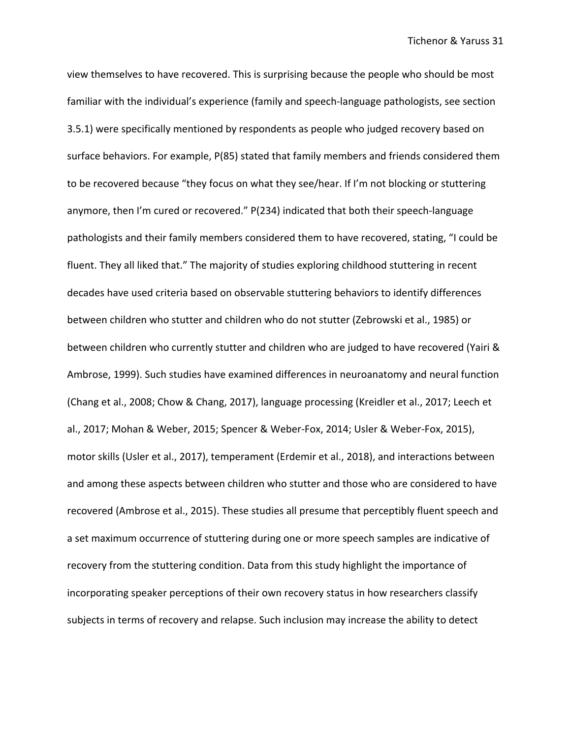view themselves to have recovered. This is surprising because the people who should be most familiar with the individual's experience (family and speech-language pathologists, see section 3.5.1) were specifically mentioned by respondents as people who judged recovery based on surface behaviors. For example, P(85) stated that family members and friends considered them to be recovered because "they focus on what they see/hear. If I'm not blocking or stuttering anymore, then I'm cured or recovered." P(234) indicated that both their speech-language pathologists and their family members considered them to have recovered, stating, "I could be fluent. They all liked that." The majority of studies exploring childhood stuttering in recent decades have used criteria based on observable stuttering behaviors to identify differences between children who stutter and children who do not stutter (Zebrowski et al., 1985) or between children who currently stutter and children who are judged to have recovered (Yairi & Ambrose, 1999). Such studies have examined differences in neuroanatomy and neural function (Chang et al., 2008; Chow & Chang, 2017), language processing (Kreidler et al., 2017; Leech et al., 2017; Mohan & Weber, 2015; Spencer & Weber-Fox, 2014; Usler & Weber-Fox, 2015), motor skills (Usler et al., 2017), temperament (Erdemir et al., 2018), and interactions between and among these aspects between children who stutter and those who are considered to have recovered (Ambrose et al., 2015). These studies all presume that perceptibly fluent speech and a set maximum occurrence of stuttering during one or more speech samples are indicative of recovery from the stuttering condition. Data from this study highlight the importance of incorporating speaker perceptions of their own recovery status in how researchers classify subjects in terms of recovery and relapse. Such inclusion may increase the ability to detect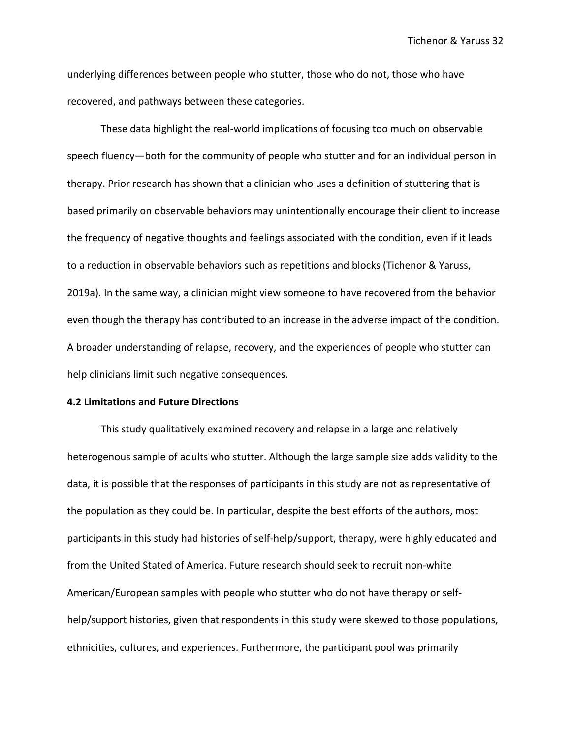underlying differences between people who stutter, those who do not, those who have recovered, and pathways between these categories.

These data highlight the real-world implications of focusing too much on observable speech fluency—both for the community of people who stutter and for an individual person in therapy. Prior research has shown that a clinician who uses a definition of stuttering that is based primarily on observable behaviors may unintentionally encourage their client to increase the frequency of negative thoughts and feelings associated with the condition, even if it leads to a reduction in observable behaviors such as repetitions and blocks (Tichenor & Yaruss, 2019a). In the same way, a clinician might view someone to have recovered from the behavior even though the therapy has contributed to an increase in the adverse impact of the condition. A broader understanding of relapse, recovery, and the experiences of people who stutter can help clinicians limit such negative consequences.

### **4.2 Limitations and Future Directions**

This study qualitatively examined recovery and relapse in a large and relatively heterogenous sample of adults who stutter. Although the large sample size adds validity to the data, it is possible that the responses of participants in this study are not as representative of the population as they could be. In particular, despite the best efforts of the authors, most participants in this study had histories of self-help/support, therapy, were highly educated and from the United Stated of America. Future research should seek to recruit non-white American/European samples with people who stutter who do not have therapy or selfhelp/support histories, given that respondents in this study were skewed to those populations, ethnicities, cultures, and experiences. Furthermore, the participant pool was primarily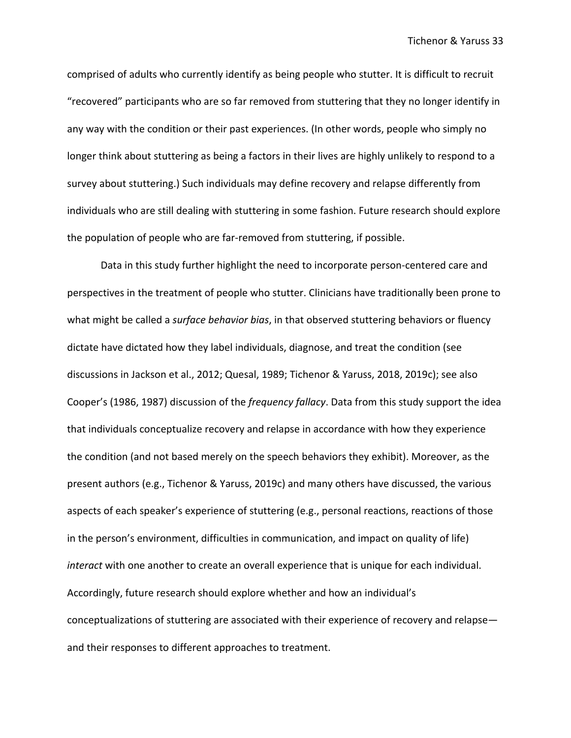comprised of adults who currently identify as being people who stutter. It is difficult to recruit "recovered" participants who are so far removed from stuttering that they no longer identify in any way with the condition or their past experiences. (In other words, people who simply no longer think about stuttering as being a factors in their lives are highly unlikely to respond to a survey about stuttering.) Such individuals may define recovery and relapse differently from individuals who are still dealing with stuttering in some fashion. Future research should explore the population of people who are far-removed from stuttering, if possible.

Data in this study further highlight the need to incorporate person-centered care and perspectives in the treatment of people who stutter. Clinicians have traditionally been prone to what might be called a *surface behavior bias*, in that observed stuttering behaviors or fluency dictate have dictated how they label individuals, diagnose, and treat the condition (see discussions in Jackson et al., 2012; Quesal, 1989; Tichenor & Yaruss, 2018, 2019c); see also Cooper's (1986, 1987) discussion of the *frequency fallacy*. Data from this study support the idea that individuals conceptualize recovery and relapse in accordance with how they experience the condition (and not based merely on the speech behaviors they exhibit). Moreover, as the present authors (e.g., Tichenor & Yaruss, 2019c) and many others have discussed, the various aspects of each speaker's experience of stuttering (e.g., personal reactions, reactions of those in the person's environment, difficulties in communication, and impact on quality of life) *interact* with one another to create an overall experience that is unique for each individual. Accordingly, future research should explore whether and how an individual's conceptualizations of stuttering are associated with their experience of recovery and relapse and their responses to different approaches to treatment.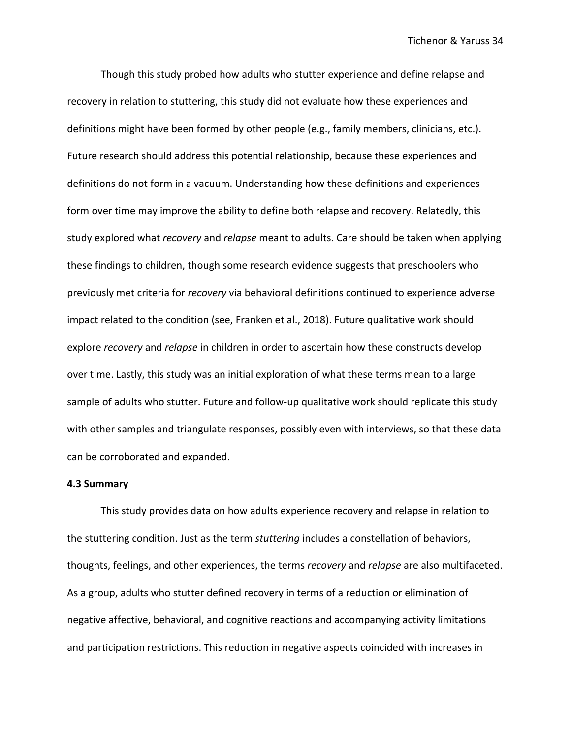Though this study probed how adults who stutter experience and define relapse and recovery in relation to stuttering, this study did not evaluate how these experiences and definitions might have been formed by other people (e.g., family members, clinicians, etc.). Future research should address this potential relationship, because these experiences and definitions do not form in a vacuum. Understanding how these definitions and experiences form over time may improve the ability to define both relapse and recovery. Relatedly, this study explored what *recovery* and *relapse* meant to adults. Care should be taken when applying these findings to children, though some research evidence suggests that preschoolers who previously met criteria for *recovery* via behavioral definitions continued to experience adverse impact related to the condition (see, Franken et al., 2018). Future qualitative work should explore *recovery* and *relapse* in children in order to ascertain how these constructs develop over time. Lastly, this study was an initial exploration of what these terms mean to a large sample of adults who stutter. Future and follow-up qualitative work should replicate this study with other samples and triangulate responses, possibly even with interviews, so that these data can be corroborated and expanded.

#### **4.3 Summary**

This study provides data on how adults experience recovery and relapse in relation to the stuttering condition. Just as the term *stuttering* includes a constellation of behaviors, thoughts, feelings, and other experiences, the terms *recovery* and *relapse* are also multifaceted. As a group, adults who stutter defined recovery in terms of a reduction or elimination of negative affective, behavioral, and cognitive reactions and accompanying activity limitations and participation restrictions. This reduction in negative aspects coincided with increases in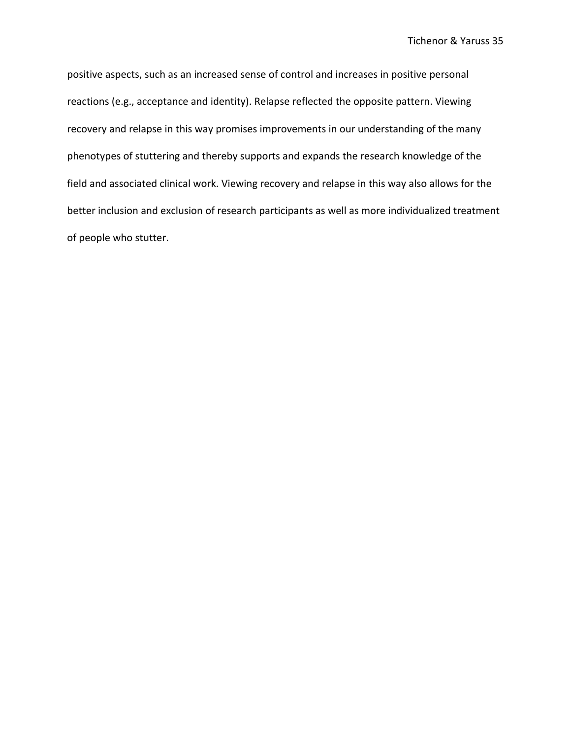positive aspects, such as an increased sense of control and increases in positive personal reactions (e.g., acceptance and identity). Relapse reflected the opposite pattern. Viewing recovery and relapse in this way promises improvements in our understanding of the many phenotypes of stuttering and thereby supports and expands the research knowledge of the field and associated clinical work. Viewing recovery and relapse in this way also allows for the better inclusion and exclusion of research participants as well as more individualized treatment of people who stutter.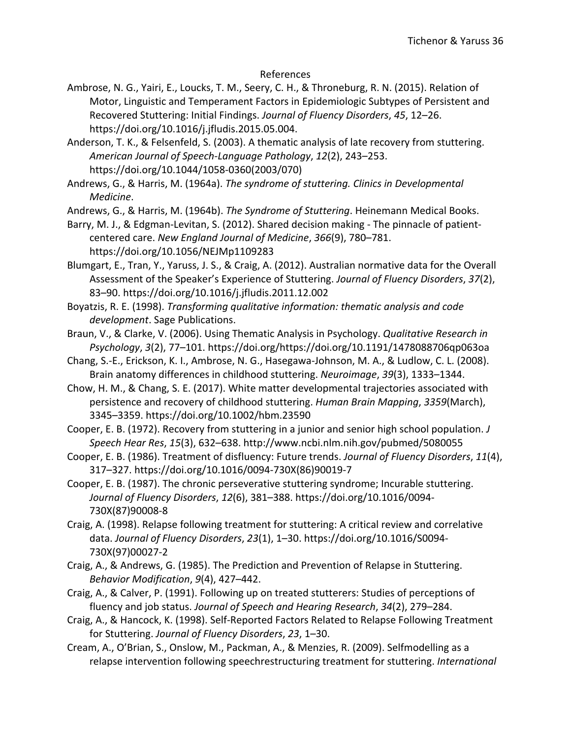# References

- Ambrose, N. G., Yairi, E., Loucks, T. M., Seery, C. H., & Throneburg, R. N. (2015). Relation of Motor, Linguistic and Temperament Factors in Epidemiologic Subtypes of Persistent and Recovered Stuttering: Initial Findings. *Journal of Fluency Disorders*, *45*, 12–26. https://doi.org/10.1016/j.jfludis.2015.05.004.
- Anderson, T. K., & Felsenfeld, S. (2003). A thematic analysis of late recovery from stuttering. *American Journal of Speech-Language Pathology*, *12*(2), 243–253. https://doi.org/10.1044/1058-0360(2003/070)

Andrews, G., & Harris, M. (1964a). *The syndrome of stuttering. Clinics in Developmental Medicine*.

Andrews, G., & Harris, M. (1964b). *The Syndrome of Stuttering*. Heinemann Medical Books.

Barry, M. J., & Edgman-Levitan, S. (2012). Shared decision making - The pinnacle of patientcentered care. *New England Journal of Medicine*, *366*(9), 780–781. https://doi.org/10.1056/NEJMp1109283

- Blumgart, E., Tran, Y., Yaruss, J. S., & Craig, A. (2012). Australian normative data for the Overall Assessment of the Speaker's Experience of Stuttering. *Journal of Fluency Disorders*, *37*(2), 83–90. https://doi.org/10.1016/j.jfludis.2011.12.002
- Boyatzis, R. E. (1998). *Transforming qualitative information: thematic analysis and code development*. Sage Publications.
- Braun, V., & Clarke, V. (2006). Using Thematic Analysis in Psychology. *Qualitative Research in Psychology*, *3*(2), 77–101. https://doi.org/https://doi.org/10.1191/1478088706qp063oa
- Chang, S.-E., Erickson, K. I., Ambrose, N. G., Hasegawa-Johnson, M. A., & Ludlow, C. L. (2008). Brain anatomy differences in childhood stuttering. *Neuroimage*, *39*(3), 1333–1344.
- Chow, H. M., & Chang, S. E. (2017). White matter developmental trajectories associated with persistence and recovery of childhood stuttering. *Human Brain Mapping*, *3359*(March), 3345–3359. https://doi.org/10.1002/hbm.23590
- Cooper, E. B. (1972). Recovery from stuttering in a junior and senior high school population. *J Speech Hear Res*, *15*(3), 632–638. http://www.ncbi.nlm.nih.gov/pubmed/5080055
- Cooper, E. B. (1986). Treatment of disfluency: Future trends. *Journal of Fluency Disorders*, *11*(4), 317–327. https://doi.org/10.1016/0094-730X(86)90019-7
- Cooper, E. B. (1987). The chronic perseverative stuttering syndrome; Incurable stuttering. *Journal of Fluency Disorders*, *12*(6), 381–388. https://doi.org/10.1016/0094- 730X(87)90008-8
- Craig, A. (1998). Relapse following treatment for stuttering: A critical review and correlative data. *Journal of Fluency Disorders*, *23*(1), 1–30. https://doi.org/10.1016/S0094- 730X(97)00027-2
- Craig, A., & Andrews, G. (1985). The Prediction and Prevention of Relapse in Stuttering. *Behavior Modification*, *9*(4), 427–442.
- Craig, A., & Calver, P. (1991). Following up on treated stutterers: Studies of perceptions of fluency and job status. *Journal of Speech and Hearing Research*, *34*(2), 279–284.
- Craig, A., & Hancock, K. (1998). Self-Reported Factors Related to Relapse Following Treatment for Stuttering. *Journal of Fluency Disorders*, *23*, 1–30.
- Cream, A., O'Brian, S., Onslow, M., Packman, A., & Menzies, R. (2009). Selfmodelling as a relapse intervention following speechrestructuring treatment for stuttering. *International*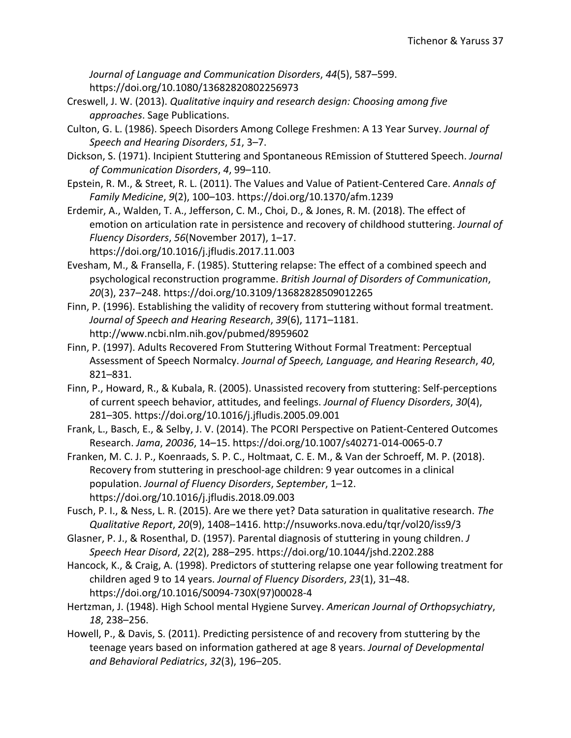*Journal of Language and Communication Disorders*, *44*(5), 587–599. https://doi.org/10.1080/13682820802256973

- Creswell, J. W. (2013). *Qualitative inquiry and research design: Choosing among five approaches*. Sage Publications.
- Culton, G. L. (1986). Speech Disorders Among College Freshmen: A 13 Year Survey. *Journal of Speech and Hearing Disorders*, *51*, 3–7.
- Dickson, S. (1971). Incipient Stuttering and Spontaneous REmission of Stuttered Speech. *Journal of Communication Disorders*, *4*, 99–110.
- Epstein, R. M., & Street, R. L. (2011). The Values and Value of Patient-Centered Care. *Annals of Family Medicine*, *9*(2), 100–103. https://doi.org/10.1370/afm.1239
- Erdemir, A., Walden, T. A., Jefferson, C. M., Choi, D., & Jones, R. M. (2018). The effect of emotion on articulation rate in persistence and recovery of childhood stuttering. *Journal of Fluency Disorders*, *56*(November 2017), 1–17. https://doi.org/10.1016/j.jfludis.2017.11.003
- Evesham, M., & Fransella, F. (1985). Stuttering relapse: The effect of a combined speech and psychological reconstruction programme. *British Journal of Disorders of Communication*, *20*(3), 237–248. https://doi.org/10.3109/13682828509012265
- Finn, P. (1996). Establishing the validity of recovery from stuttering without formal treatment. *Journal of Speech and Hearing Research*, *39*(6), 1171–1181. http://www.ncbi.nlm.nih.gov/pubmed/8959602
- Finn, P. (1997). Adults Recovered From Stuttering Without Formal Treatment: Perceptual Assessment of Speech Normalcy. *Journal of Speech, Language, and Hearing Research*, *40*, 821–831.
- Finn, P., Howard, R., & Kubala, R. (2005). Unassisted recovery from stuttering: Self-perceptions of current speech behavior, attitudes, and feelings. *Journal of Fluency Disorders*, *30*(4), 281–305. https://doi.org/10.1016/j.jfludis.2005.09.001
- Frank, L., Basch, E., & Selby, J. V. (2014). The PCORI Perspective on Patient-Centered Outcomes Research. *Jama*, *20036*, 14–15. https://doi.org/10.1007/s40271-014-0065-0.7
- Franken, M. C. J. P., Koenraads, S. P. C., Holtmaat, C. E. M., & Van der Schroeff, M. P. (2018). Recovery from stuttering in preschool-age children: 9 year outcomes in a clinical population. *Journal of Fluency Disorders*, *September*, 1–12. https://doi.org/10.1016/j.jfludis.2018.09.003
- Fusch, P. I., & Ness, L. R. (2015). Are we there yet? Data saturation in qualitative research. *The Qualitative Report*, *20*(9), 1408–1416. http://nsuworks.nova.edu/tqr/vol20/iss9/3
- Glasner, P. J., & Rosenthal, D. (1957). Parental diagnosis of stuttering in young children. *J Speech Hear Disord*, *22*(2), 288–295. https://doi.org/10.1044/jshd.2202.288
- Hancock, K., & Craig, A. (1998). Predictors of stuttering relapse one year following treatment for children aged 9 to 14 years. *Journal of Fluency Disorders*, *23*(1), 31–48. https://doi.org/10.1016/S0094-730X(97)00028-4
- Hertzman, J. (1948). High School mental Hygiene Survey. *American Journal of Orthopsychiatry*, *18*, 238–256.
- Howell, P., & Davis, S. (2011). Predicting persistence of and recovery from stuttering by the teenage years based on information gathered at age 8 years. *Journal of Developmental and Behavioral Pediatrics*, *32*(3), 196–205.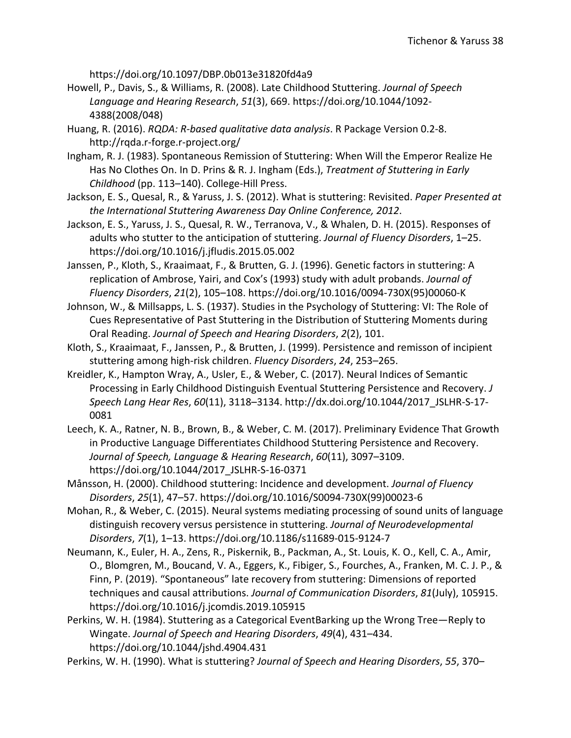https://doi.org/10.1097/DBP.0b013e31820fd4a9

- Howell, P., Davis, S., & Williams, R. (2008). Late Childhood Stuttering. *Journal of Speech Language and Hearing Research*, *51*(3), 669. https://doi.org/10.1044/1092- 4388(2008/048)
- Huang, R. (2016). *RQDA: R-based qualitative data analysis*. R Package Version 0.2-8. http://rqda.r-forge.r-project.org/
- Ingham, R. J. (1983). Spontaneous Remission of Stuttering: When Will the Emperor Realize He Has No Clothes On. In D. Prins & R. J. Ingham (Eds.), *Treatment of Stuttering in Early Childhood* (pp. 113–140). College-Hill Press.
- Jackson, E. S., Quesal, R., & Yaruss, J. S. (2012). What is stuttering: Revisited. *Paper Presented at the International Stuttering Awareness Day Online Conference, 2012*.
- Jackson, E. S., Yaruss, J. S., Quesal, R. W., Terranova, V., & Whalen, D. H. (2015). Responses of adults who stutter to the anticipation of stuttering. *Journal of Fluency Disorders*, 1–25. https://doi.org/10.1016/j.jfludis.2015.05.002
- Janssen, P., Kloth, S., Kraaimaat, F., & Brutten, G. J. (1996). Genetic factors in stuttering: A replication of Ambrose, Yairi, and Cox's (1993) study with adult probands. *Journal of Fluency Disorders*, *21*(2), 105–108. https://doi.org/10.1016/0094-730X(95)00060-K
- Johnson, W., & Millsapps, L. S. (1937). Studies in the Psychology of Stuttering: VI: The Role of Cues Representative of Past Stuttering in the Distribution of Stuttering Moments during Oral Reading. *Journal of Speech and Hearing Disorders*, *2*(2), 101.
- Kloth, S., Kraaimaat, F., Janssen, P., & Brutten, J. (1999). Persistence and remisson of incipient stuttering among high-risk children. *Fluency Disorders*, *24*, 253–265.
- Kreidler, K., Hampton Wray, A., Usler, E., & Weber, C. (2017). Neural Indices of Semantic Processing in Early Childhood Distinguish Eventual Stuttering Persistence and Recovery. *J Speech Lang Hear Res*, *60*(11), 3118–3134. http://dx.doi.org/10.1044/2017\_JSLHR-S-17- 0081
- Leech, K. A., Ratner, N. B., Brown, B., & Weber, C. M. (2017). Preliminary Evidence That Growth in Productive Language Differentiates Childhood Stuttering Persistence and Recovery. *Journal of Speech, Language & Hearing Research*, *60*(11), 3097–3109. https://doi.org/10.1044/2017\_JSLHR-S-16-0371
- Månsson, H. (2000). Childhood stuttering: Incidence and development. *Journal of Fluency Disorders*, *25*(1), 47–57. https://doi.org/10.1016/S0094-730X(99)00023-6
- Mohan, R., & Weber, C. (2015). Neural systems mediating processing of sound units of language distinguish recovery versus persistence in stuttering. *Journal of Neurodevelopmental Disorders*, *7*(1), 1–13. https://doi.org/10.1186/s11689-015-9124-7
- Neumann, K., Euler, H. A., Zens, R., Piskernik, B., Packman, A., St. Louis, K. O., Kell, C. A., Amir, O., Blomgren, M., Boucand, V. A., Eggers, K., Fibiger, S., Fourches, A., Franken, M. C. J. P., & Finn, P. (2019). "Spontaneous" late recovery from stuttering: Dimensions of reported techniques and causal attributions. *Journal of Communication Disorders*, *81*(July), 105915. https://doi.org/10.1016/j.jcomdis.2019.105915
- Perkins, W. H. (1984). Stuttering as a Categorical EventBarking up the Wrong Tree—Reply to Wingate. *Journal of Speech and Hearing Disorders*, *49*(4), 431–434. https://doi.org/10.1044/jshd.4904.431

Perkins, W. H. (1990). What is stuttering? *Journal of Speech and Hearing Disorders*, *55*, 370–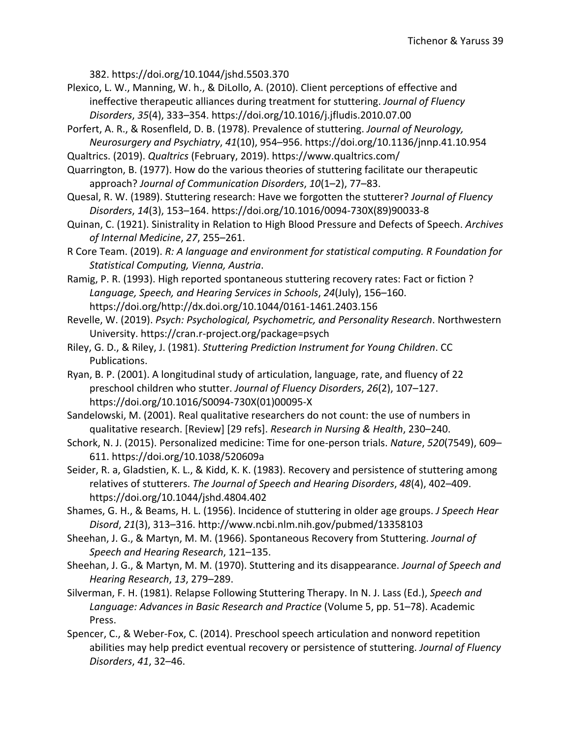382. https://doi.org/10.1044/jshd.5503.370

- Plexico, L. W., Manning, W. h., & DiLollo, A. (2010). Client perceptions of effective and ineffective therapeutic alliances during treatment for stuttering. *Journal of Fluency Disorders*, *35*(4), 333–354. https://doi.org/10.1016/j.jfludis.2010.07.00
- Porfert, A. R., & Rosenfleld, D. B. (1978). Prevalence of stuttering. *Journal of Neurology, Neurosurgery and Psychiatry*, *41*(10), 954–956. https://doi.org/10.1136/jnnp.41.10.954
- Qualtrics. (2019). *Qualtrics* (February, 2019). https://www.qualtrics.com/

Quarrington, B. (1977). How do the various theories of stuttering facilitate our therapeutic approach? *Journal of Communication Disorders*, *10*(1–2), 77–83.

- Quesal, R. W. (1989). Stuttering research: Have we forgotten the stutterer? *Journal of Fluency Disorders*, *14*(3), 153–164. https://doi.org/10.1016/0094-730X(89)90033-8
- Quinan, C. (1921). Sinistrality in Relation to High Blood Pressure and Defects of Speech. *Archives of Internal Medicine*, *27*, 255–261.

R Core Team. (2019). *R: A language and environment for statistical computing. R Foundation for Statistical Computing, Vienna, Austria*.

Ramig, P. R. (1993). High reported spontaneous stuttering recovery rates: Fact or fiction ? *Language, Speech, and Hearing Services in Schools*, *24*(July), 156–160. https://doi.org/http://dx.doi.org/10.1044/0161-1461.2403.156

Revelle, W. (2019). *Psych: Psychological, Psychometric, and Personality Research*. Northwestern University. https://cran.r-project.org/package=psych

- Riley, G. D., & Riley, J. (1981). *Stuttering Prediction Instrument for Young Children*. CC Publications.
- Ryan, B. P. (2001). A longitudinal study of articulation, language, rate, and fluency of 22 preschool children who stutter. *Journal of Fluency Disorders*, *26*(2), 107–127. https://doi.org/10.1016/S0094-730X(01)00095-X

Sandelowski, M. (2001). Real qualitative researchers do not count: the use of numbers in qualitative research. [Review] [29 refs]. *Research in Nursing & Health*, 230–240.

- Schork, N. J. (2015). Personalized medicine: Time for one-person trials. *Nature*, *520*(7549), 609– 611. https://doi.org/10.1038/520609a
- Seider, R. a, Gladstien, K. L., & Kidd, K. K. (1983). Recovery and persistence of stuttering among relatives of stutterers. *The Journal of Speech and Hearing Disorders*, *48*(4), 402–409. https://doi.org/10.1044/jshd.4804.402
- Shames, G. H., & Beams, H. L. (1956). Incidence of stuttering in older age groups. *J Speech Hear Disord*, *21*(3), 313–316. http://www.ncbi.nlm.nih.gov/pubmed/13358103
- Sheehan, J. G., & Martyn, M. M. (1966). Spontaneous Recovery from Stuttering. *Journal of Speech and Hearing Research*, 121–135.
- Sheehan, J. G., & Martyn, M. M. (1970). Stuttering and its disappearance. *Journal of Speech and Hearing Research*, *13*, 279–289.
- Silverman, F. H. (1981). Relapse Following Stuttering Therapy. In N. J. Lass (Ed.), *Speech and Language: Advances in Basic Research and Practice* (Volume 5, pp. 51–78). Academic Press.
- Spencer, C., & Weber-Fox, C. (2014). Preschool speech articulation and nonword repetition abilities may help predict eventual recovery or persistence of stuttering. *Journal of Fluency Disorders*, *41*, 32–46.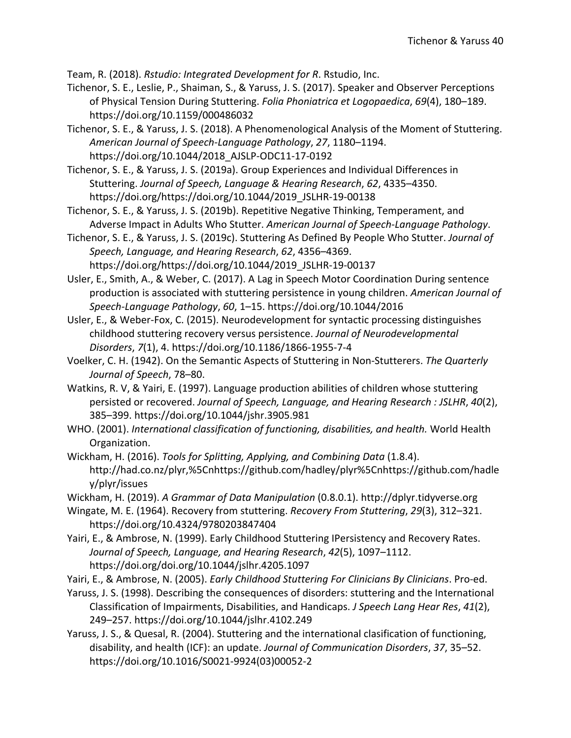Team, R. (2018). *Rstudio: Integrated Development for R*. Rstudio, Inc.

Tichenor, S. E., Leslie, P., Shaiman, S., & Yaruss, J. S. (2017). Speaker and Observer Perceptions of Physical Tension During Stuttering. *Folia Phoniatrica et Logopaedica*, *69*(4), 180–189. https://doi.org/10.1159/000486032

Tichenor, S. E., & Yaruss, J. S. (2018). A Phenomenological Analysis of the Moment of Stuttering. *American Journal of Speech-Language Pathology*, *27*, 1180–1194. https://doi.org/10.1044/2018\_AJSLP-ODC11-17-0192

Tichenor, S. E., & Yaruss, J. S. (2019a). Group Experiences and Individual Differences in Stuttering. *Journal of Speech, Language & Hearing Research*, *62*, 4335–4350. https://doi.org/https://doi.org/10.1044/2019\_JSLHR-19-00138

Tichenor, S. E., & Yaruss, J. S. (2019b). Repetitive Negative Thinking, Temperament, and Adverse Impact in Adults Who Stutter. *American Journal of Speech-Language Pathology*.

Tichenor, S. E., & Yaruss, J. S. (2019c). Stuttering As Defined By People Who Stutter. *Journal of Speech, Language, and Hearing Research*, *62*, 4356–4369. https://doi.org/https://doi.org/10.1044/2019\_JSLHR-19-00137

Usler, E., Smith, A., & Weber, C. (2017). A Lag in Speech Motor Coordination During sentence production is associated with stuttering persistence in young children. *American Journal of Speech-Language Pathology*, *60*, 1–15. https://doi.org/10.1044/2016

Usler, E., & Weber-Fox, C. (2015). Neurodevelopment for syntactic processing distinguishes childhood stuttering recovery versus persistence. *Journal of Neurodevelopmental Disorders*, *7*(1), 4. https://doi.org/10.1186/1866-1955-7-4

Voelker, C. H. (1942). On the Semantic Aspects of Stuttering in Non-Stutterers. *The Quarterly Journal of Speech*, 78–80.

Watkins, R. V, & Yairi, E. (1997). Language production abilities of children whose stuttering persisted or recovered. *Journal of Speech, Language, and Hearing Research : JSLHR*, *40*(2), 385–399. https://doi.org/10.1044/jshr.3905.981

WHO. (2001). *International classification of functioning, disabilities, and health.* World Health Organization.

Wickham, H. (2016). *Tools for Splitting, Applying, and Combining Data* (1.8.4). http://had.co.nz/plyr,%5Cnhttps://github.com/hadley/plyr%5Cnhttps://github.com/hadle y/plyr/issues

Wickham, H. (2019). *A Grammar of Data Manipulation* (0.8.0.1). http://dplyr.tidyverse.org

Wingate, M. E. (1964). Recovery from stuttering. *Recovery From Stuttering*, *29*(3), 312–321. https://doi.org/10.4324/9780203847404

Yairi, E., & Ambrose, N. (1999). Early Childhood Stuttering IPersistency and Recovery Rates. *Journal of Speech, Language, and Hearing Research*, *42*(5), 1097–1112. https://doi.org/doi.org/10.1044/jslhr.4205.1097

Yairi, E., & Ambrose, N. (2005). *Early Childhood Stuttering For Clinicians By Clinicians*. Pro-ed.

Yaruss, J. S. (1998). Describing the consequences of disorders: stuttering and the International Classification of Impairments, Disabilities, and Handicaps. *J Speech Lang Hear Res*, *41*(2), 249–257. https://doi.org/10.1044/jslhr.4102.249

Yaruss, J. S., & Quesal, R. (2004). Stuttering and the international clasification of functioning, disability, and health (ICF): an update. *Journal of Communication Disorders*, *37*, 35–52. https://doi.org/10.1016/S0021-9924(03)00052-2